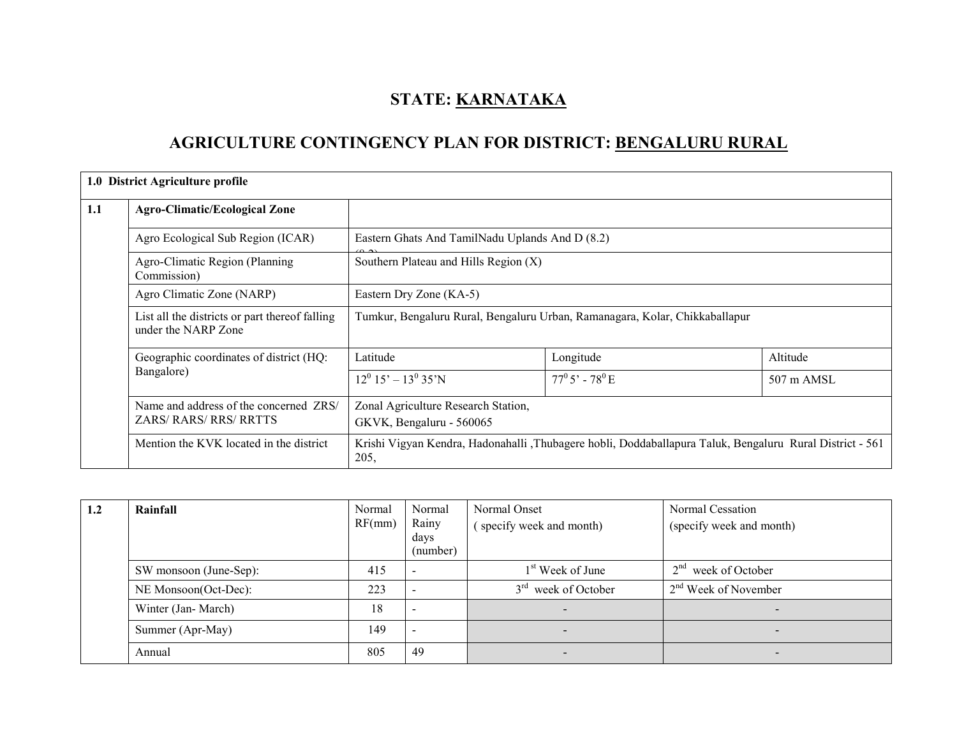# STATE: KARNATAKA

# AGRICULTURE CONTINGENCY PLAN FOR DISTRICT: BENGALURU RURAL

|     | 1.0 District Agriculture profile                                        |                                                                                                                  |                                                 |                      |  |  |  |  |  |
|-----|-------------------------------------------------------------------------|------------------------------------------------------------------------------------------------------------------|-------------------------------------------------|----------------------|--|--|--|--|--|
| 1.1 | <b>Agro-Climatic/Ecological Zone</b>                                    |                                                                                                                  |                                                 |                      |  |  |  |  |  |
|     | Agro Ecological Sub Region (ICAR)                                       |                                                                                                                  | Eastern Ghats And TamilNadu Uplands And D (8.2) |                      |  |  |  |  |  |
|     | Agro-Climatic Region (Planning<br>Commission)                           |                                                                                                                  | Southern Plateau and Hills Region (X)           |                      |  |  |  |  |  |
|     | Agro Climatic Zone (NARP)                                               | Eastern Dry Zone (KA-5)                                                                                          |                                                 |                      |  |  |  |  |  |
|     | List all the districts or part thereof falling<br>under the NARP Zone   | Tumkur, Bengaluru Rural, Bengaluru Urban, Ramanagara, Kolar, Chikkaballapur                                      |                                                 |                      |  |  |  |  |  |
|     | Geographic coordinates of district (HQ:                                 | Latitude                                                                                                         | Longitude                                       | Altitude             |  |  |  |  |  |
|     | Bangalore)                                                              | $12^0$ 15' – $13^0$ 35'N                                                                                         | $77^{\rm 0}5'$ - $78^{\rm 0}$ E                 | $507 \text{ m AMSL}$ |  |  |  |  |  |
|     | Name and address of the concerned ZRS/<br><b>ZARS/ RARS/ RRS/ RRTTS</b> | Zonal Agriculture Research Station,<br>GKVK, Bengaluru - 560065                                                  |                                                 |                      |  |  |  |  |  |
|     | Mention the KVK located in the district                                 | Krishi Vigyan Kendra, Hadonahalli ,Thubagere hobli, Doddaballapura Taluk, Bengaluru Rural District - 561<br>205, |                                                 |                      |  |  |  |  |  |

| 1.2 | Rainfall               | Normal<br>RF(mm) | Normal<br>Rainy<br>days<br>(number) | Normal Onset<br>specify week and month) | Normal Cessation<br>(specify week and month) |
|-----|------------------------|------------------|-------------------------------------|-----------------------------------------|----------------------------------------------|
|     | SW monsoon (June-Sep): | 415              |                                     | 1 <sup>st</sup> Week of June            | 2 <sup>nd</sup><br>week of October           |
|     | NE Monsoon(Oct-Dec):   | 223              |                                     | $3rd$ week of October                   | $2nd$ Week of November                       |
|     | Winter (Jan-March)     | 18               |                                     |                                         |                                              |
|     | Summer (Apr-May)       | 149              |                                     |                                         | $\blacksquare$                               |
|     | Annual                 | 805              | 49                                  |                                         |                                              |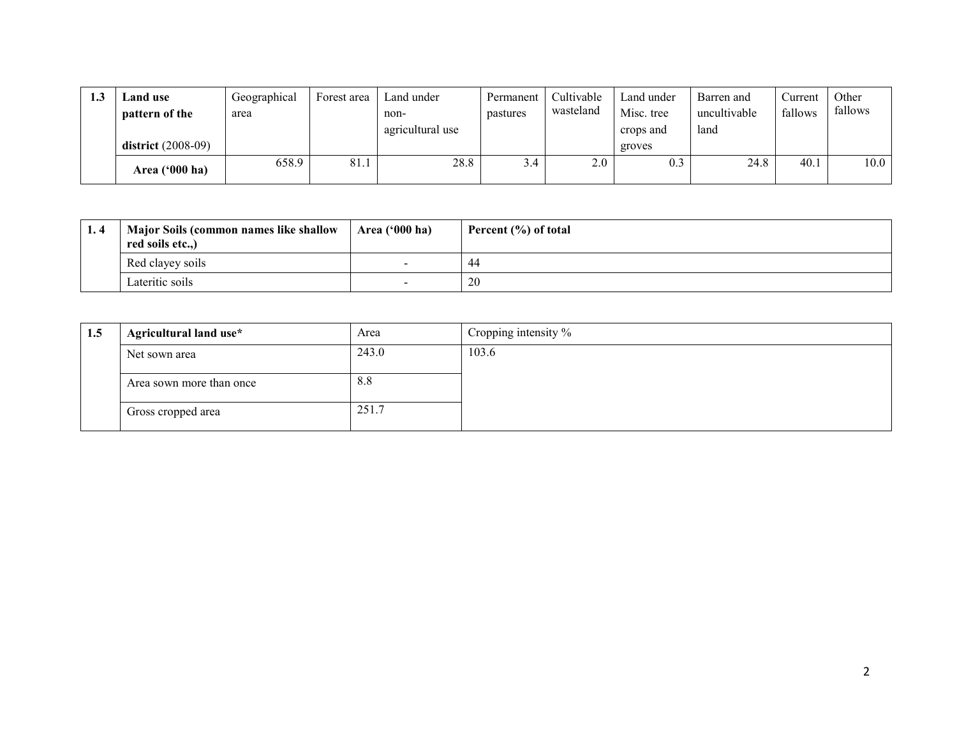| 1.3 | <b>Land use</b><br>pattern of the | Geographical<br>area | Forest area | Land under<br>non- | Permanent<br>pastures | Cultivable<br>wasteland | Land under<br>Misc. tree | Barren and<br>uncultivable | Current<br>fallows | Other<br>fallows |
|-----|-----------------------------------|----------------------|-------------|--------------------|-----------------------|-------------------------|--------------------------|----------------------------|--------------------|------------------|
|     | district $(2008-09)$              |                      |             | agricultural use   |                       |                         | crops and<br>groves      | land                       |                    |                  |
|     | Area $('000 ha)$                  | 658.9                | 81.1        | 28.8               | 3.4                   | 2.0                     |                          | 24.8                       | 40.1               | 10.0             |

| 1.4 | <b>Major Soils (common names like shallow)</b><br>red soils etc.,) | Area $(900 \text{ ha})$  | Percent $(\% )$ of total |
|-----|--------------------------------------------------------------------|--------------------------|--------------------------|
|     | Red clayey soils                                                   | $\overline{\phantom{a}}$ | 44                       |
|     | Lateritic soils                                                    |                          | 20                       |

| 1.5 | Agricultural land use*   | Area  | Cropping intensity % |
|-----|--------------------------|-------|----------------------|
|     | Net sown area            | 243.0 | 103.6                |
|     | Area sown more than once | 8.8   |                      |
|     | Gross cropped area       | 251.7 |                      |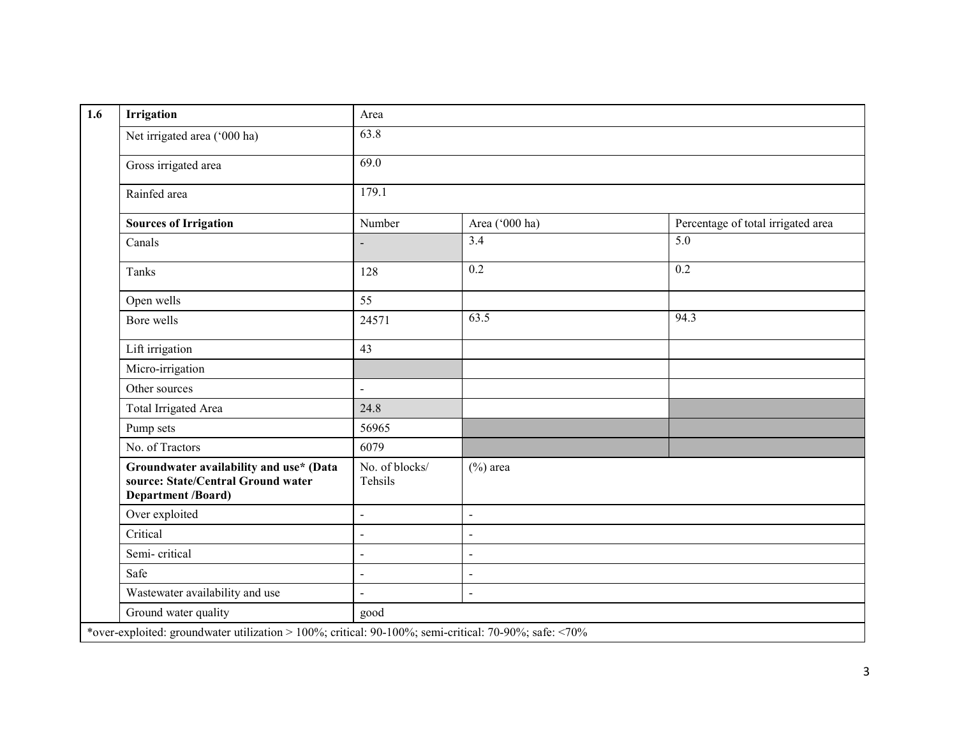| <b>Irrigation</b>                                                                                   | Area                      |                |                                    |  |  |  |  |
|-----------------------------------------------------------------------------------------------------|---------------------------|----------------|------------------------------------|--|--|--|--|
| Net irrigated area ('000 ha)                                                                        | 63.8                      |                |                                    |  |  |  |  |
| Gross irrigated area                                                                                | 69.0                      |                |                                    |  |  |  |  |
| Rainfed area                                                                                        | 179.1                     |                |                                    |  |  |  |  |
| <b>Sources of Irrigation</b>                                                                        | Number                    | Area ('000 ha) | Percentage of total irrigated area |  |  |  |  |
| Canals                                                                                              |                           | 3.4            | 5.0                                |  |  |  |  |
| Tanks                                                                                               | 128                       | 0.2            | 0.2                                |  |  |  |  |
| Open wells                                                                                          | 55                        |                |                                    |  |  |  |  |
| Bore wells                                                                                          | 24571                     | 63.5           | 94.3                               |  |  |  |  |
| Lift irrigation                                                                                     | 43                        |                |                                    |  |  |  |  |
| Micro-irrigation                                                                                    |                           |                |                                    |  |  |  |  |
| Other sources                                                                                       | $\overline{\phantom{a}}$  |                |                                    |  |  |  |  |
| Total Irrigated Area                                                                                | 24.8                      |                |                                    |  |  |  |  |
| Pump sets                                                                                           | 56965                     |                |                                    |  |  |  |  |
| No. of Tractors                                                                                     | 6079                      |                |                                    |  |  |  |  |
| Groundwater availability and use* (Data<br>source: State/Central Ground water<br>Department /Board) | No. of blocks/<br>Tehsils | $(\%)$ area    |                                    |  |  |  |  |
| Over exploited                                                                                      | $\blacksquare$            | $\blacksquare$ |                                    |  |  |  |  |
| Critical                                                                                            | $\blacksquare$            | $\blacksquare$ |                                    |  |  |  |  |
| Semi-critical                                                                                       | $\blacksquare$            | $\blacksquare$ |                                    |  |  |  |  |
| Safe                                                                                                |                           | $\blacksquare$ |                                    |  |  |  |  |
| Wastewater availability and use                                                                     | $\blacksquare$            | $\mathbb{Z}^2$ |                                    |  |  |  |  |
| Ground water quality                                                                                | good                      |                |                                    |  |  |  |  |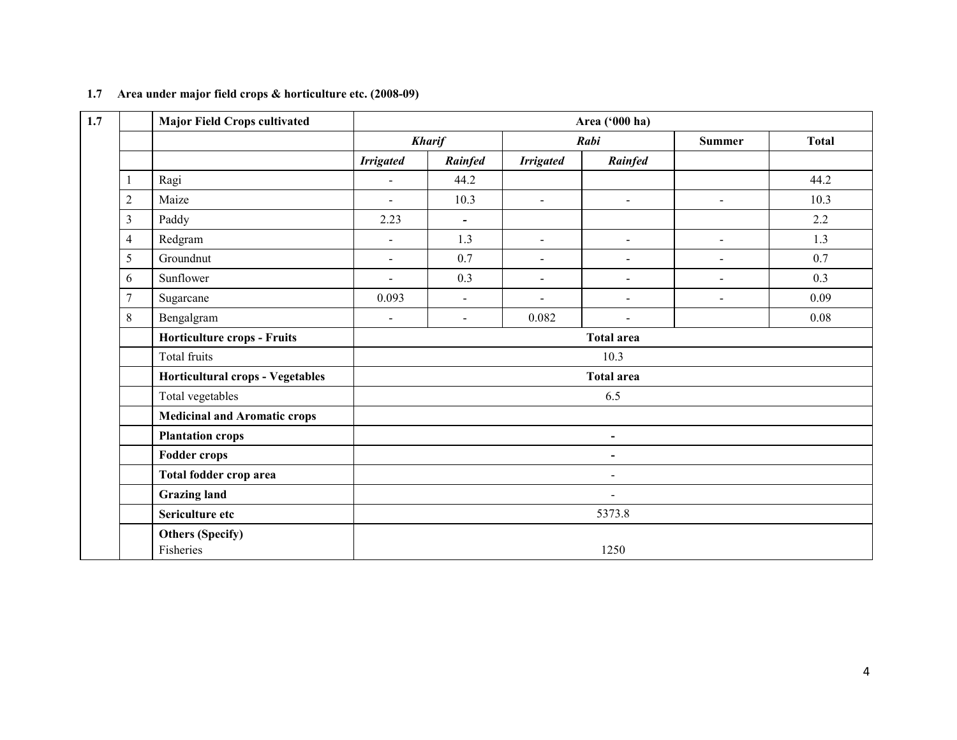| 1.7 |                | <b>Major Field Crops cultivated</b>  |                  | Area ('000 ha)           |                  |                          |                |              |  |  |  |
|-----|----------------|--------------------------------------|------------------|--------------------------|------------------|--------------------------|----------------|--------------|--|--|--|
|     |                |                                      |                  | <b>Kharif</b>            |                  | Rabi                     | <b>Summer</b>  | <b>Total</b> |  |  |  |
|     |                |                                      | <b>Irrigated</b> | Rainfed                  | <b>Irrigated</b> | Rainfed                  |                |              |  |  |  |
|     | 1              | Ragi                                 | $\blacksquare$   | 44.2                     |                  |                          |                | 44.2         |  |  |  |
|     | $\overline{c}$ | Maize                                | $\blacksquare$   | 10.3                     | $\sim$           | $\blacksquare$           | $\blacksquare$ | 10.3         |  |  |  |
|     | 3              | Paddy                                | 2.23             | $\overline{\phantom{a}}$ |                  |                          |                | 2.2          |  |  |  |
|     | 4              | Redgram                              | $\blacksquare$   | 1.3                      | $\blacksquare$   | $\blacksquare$           | $\blacksquare$ | 1.3          |  |  |  |
|     | 5              | Groundnut                            | $\blacksquare$   | 0.7                      | $\sim$           | $\blacksquare$           | $\sim$         | 0.7          |  |  |  |
|     | 6              | Sunflower                            | $\blacksquare$   | 0.3                      | $\blacksquare$   | $\blacksquare$           | $\blacksquare$ | 0.3          |  |  |  |
|     | 7              | Sugarcane                            | 0.093            | $\blacksquare$           | $\sim$           | $\blacksquare$           | $\blacksquare$ | 0.09         |  |  |  |
|     | 8              | Bengalgram                           | $\blacksquare$   | $\blacksquare$           | 0.082            | $\blacksquare$           |                | 0.08         |  |  |  |
|     |                | Horticulture crops - Fruits          |                  |                          |                  | <b>Total area</b>        |                |              |  |  |  |
|     |                | Total fruits                         |                  |                          |                  | 10.3                     |                |              |  |  |  |
|     |                | Horticultural crops - Vegetables     |                  |                          |                  | <b>Total area</b>        |                |              |  |  |  |
|     |                | Total vegetables                     |                  |                          |                  | 6.5                      |                |              |  |  |  |
|     |                | <b>Medicinal and Aromatic crops</b>  |                  |                          |                  |                          |                |              |  |  |  |
|     |                | <b>Plantation crops</b>              |                  |                          |                  | $\blacksquare$           |                |              |  |  |  |
|     |                | <b>Fodder crops</b>                  |                  |                          |                  | $\overline{\phantom{a}}$ |                |              |  |  |  |
|     |                | Total fodder crop area               |                  |                          |                  | $\blacksquare$           |                |              |  |  |  |
|     |                | <b>Grazing land</b>                  | $\blacksquare$   |                          |                  |                          |                |              |  |  |  |
|     |                | Sericulture etc                      |                  |                          |                  | 5373.8                   |                |              |  |  |  |
|     |                | <b>Others (Specify)</b><br>Fisheries |                  |                          |                  | 1250                     |                |              |  |  |  |

#### 1.7 Area under major field crops & horticulture etc. (2008-09)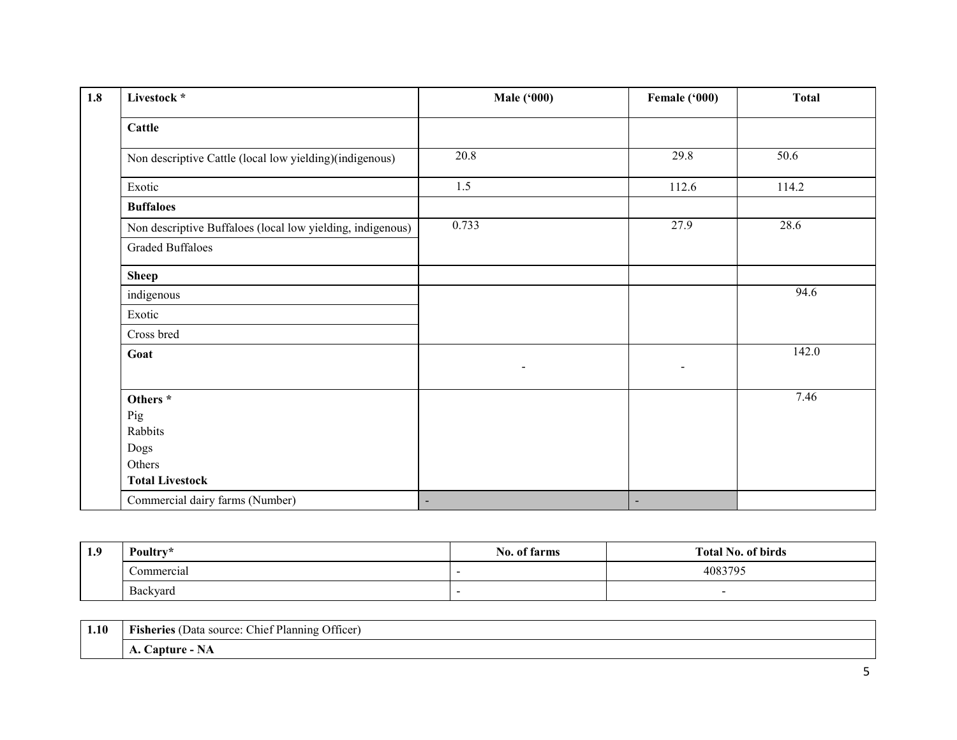| 1.8 | Livestock *                                                | <b>Male ('000)</b> | Female ('000)            | <b>Total</b> |
|-----|------------------------------------------------------------|--------------------|--------------------------|--------------|
|     | <b>Cattle</b>                                              |                    |                          |              |
|     | Non descriptive Cattle (local low yielding)(indigenous)    | 20.8               | 29.8                     | 50.6         |
|     | Exotic                                                     | 1.5                | 112.6                    | 114.2        |
|     | <b>Buffaloes</b>                                           |                    |                          |              |
|     | Non descriptive Buffaloes (local low yielding, indigenous) | 0.733              | 27.9                     | 28.6         |
|     | <b>Graded Buffaloes</b>                                    |                    |                          |              |
|     | <b>Sheep</b>                                               |                    |                          |              |
|     | indigenous                                                 |                    |                          | 94.6         |
|     | Exotic                                                     |                    |                          |              |
|     | Cross bred                                                 |                    |                          |              |
|     | Goat                                                       | $\blacksquare$     | $\blacksquare$           | 142.0        |
|     | Others <sup>*</sup>                                        |                    |                          | 7.46         |
|     | Pig                                                        |                    |                          |              |
|     | Rabbits                                                    |                    |                          |              |
|     | Dogs                                                       |                    |                          |              |
|     | Others                                                     |                    |                          |              |
|     | <b>Total Livestock</b>                                     |                    |                          |              |
|     | Commercial dairy farms (Number)                            | $\blacksquare$     | $\overline{\phantom{a}}$ |              |

| 1.9 | Poultry*                        | No. of farms | <b>Total No. of birds</b> |  |
|-----|---------------------------------|--------------|---------------------------|--|
|     | Commercial                      |              | 4083795                   |  |
|     | $\mathbf{r}$<br><b>Backvard</b> |              | $\overline{\phantom{0}}$  |  |

| 1.10 | Officer)<br>: Chief Planning<br>. .<br>(Data source:<br><b>Fisheries</b> ( |
|------|----------------------------------------------------------------------------|
|      | <b>Capture</b><br>$\sim$<br>14 A<br>л.                                     |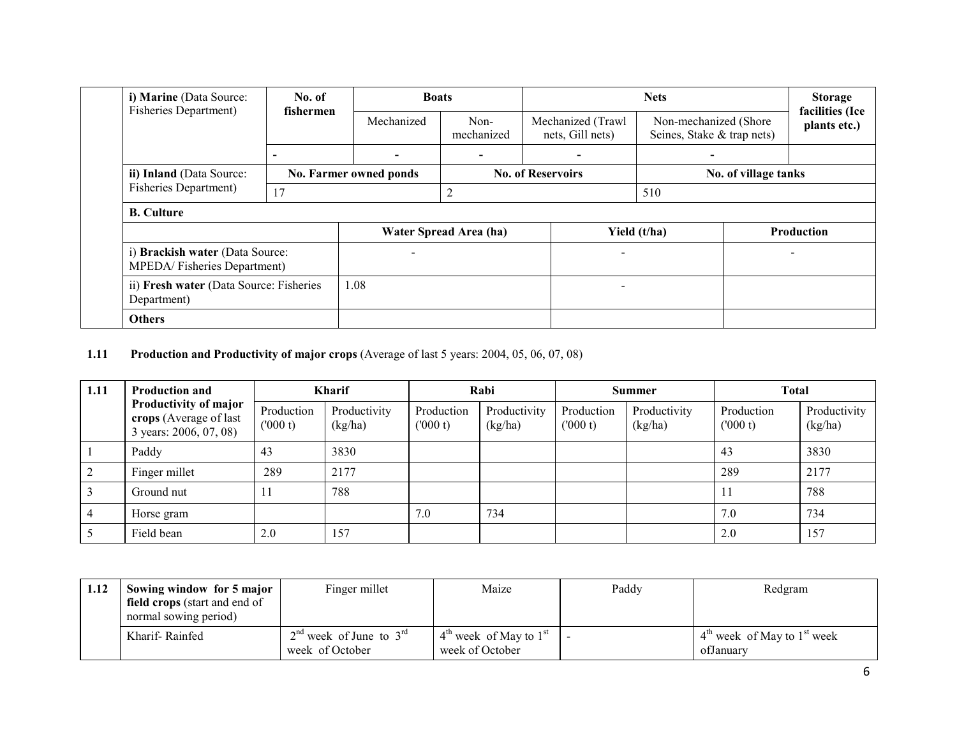| i) Marine (Data Source:<br><b>Fisheries Department</b> )       | No. of<br>fishermen                     | <b>Boats</b>           |                        | <b>Nets</b>                                                                                  |              |                      | <b>Storage</b><br>facilities (Ice |
|----------------------------------------------------------------|-----------------------------------------|------------------------|------------------------|----------------------------------------------------------------------------------------------|--------------|----------------------|-----------------------------------|
|                                                                |                                         | Mechanized             | Non-<br>mechanized     | Mechanized (Trawl<br>Non-mechanized (Shore<br>Seines, Stake & trap nets)<br>nets, Gill nets) |              |                      | plants etc.)                      |
|                                                                | $\overline{\phantom{0}}$                |                        |                        |                                                                                              |              |                      |                                   |
| ii) Inland (Data Source:                                       |                                         | No. Farmer owned ponds |                        | <b>No. of Reservoirs</b>                                                                     |              | No. of village tanks |                                   |
| Fisheries Department)                                          | 17                                      |                        | 2                      |                                                                                              | 510          |                      |                                   |
| <b>B.</b> Culture                                              |                                         |                        |                        |                                                                                              |              |                      |                                   |
|                                                                |                                         |                        | Water Spread Area (ha) |                                                                                              | Yield (t/ha) |                      | <b>Production</b>                 |
| i) Brackish water (Data Source:<br>MPEDA/Fisheries Department) |                                         |                        |                        |                                                                                              |              |                      |                                   |
| Department)                                                    | ii) Fresh water (Data Source: Fisheries |                        | 1.08                   |                                                                                              |              |                      |                                   |
| <b>Others</b>                                                  |                                         |                        |                        |                                                                                              |              |                      |                                   |

**1.11** Production and Productivity of major crops (Average of last 5 years: 2004, 05, 06, 07, 08)

| 1.11           | <b>Production and</b><br>Productivity of major<br>crops (Average of last<br>3 years: 2006, 07, 08) |                       | <b>Kharif</b>           |                       | Rabi                    |                       | <b>Summer</b>           |                       | <b>Total</b>            |  |
|----------------|----------------------------------------------------------------------------------------------------|-----------------------|-------------------------|-----------------------|-------------------------|-----------------------|-------------------------|-----------------------|-------------------------|--|
|                |                                                                                                    | Production<br>(000 t) | Productivity<br>(kg/ha) | Production<br>(000 t) | Productivity<br>(kg/ha) | Production<br>(000 t) | Productivity<br>(kg/ha) | Production<br>(000 t) | Productivity<br>(kg/ha) |  |
|                | Paddy                                                                                              | 43                    | 3830                    |                       |                         |                       |                         | 43                    | 3830                    |  |
|                | Finger millet                                                                                      | 289                   | 2177                    |                       |                         |                       |                         | 289                   | 2177                    |  |
|                | Ground nut                                                                                         | $\mathbf{I}$          | 788                     |                       |                         |                       |                         | -11                   | 788                     |  |
| $\overline{4}$ | Horse gram                                                                                         |                       |                         | 7.0                   | 734                     |                       |                         | 7.0                   | 734                     |  |
|                | Field bean                                                                                         | 2.0                   | 157                     |                       |                         |                       |                         | 2.0                   | 157                     |  |

| 1.12 | Sowing window for 5 major<br><b>field crops</b> (start and end of<br>normal sowing period) | Finger millet                                  | Maize                                         | Paddy | Redgram                                      |
|------|--------------------------------------------------------------------------------------------|------------------------------------------------|-----------------------------------------------|-------|----------------------------------------------|
|      | Kharif-Rainfed                                                                             | $2nd$ week of June to $3rd$<br>week of October | $4th$ week of May to $1st$<br>week of October |       | $4th$ week of May to $1st$ week<br>ofJanuary |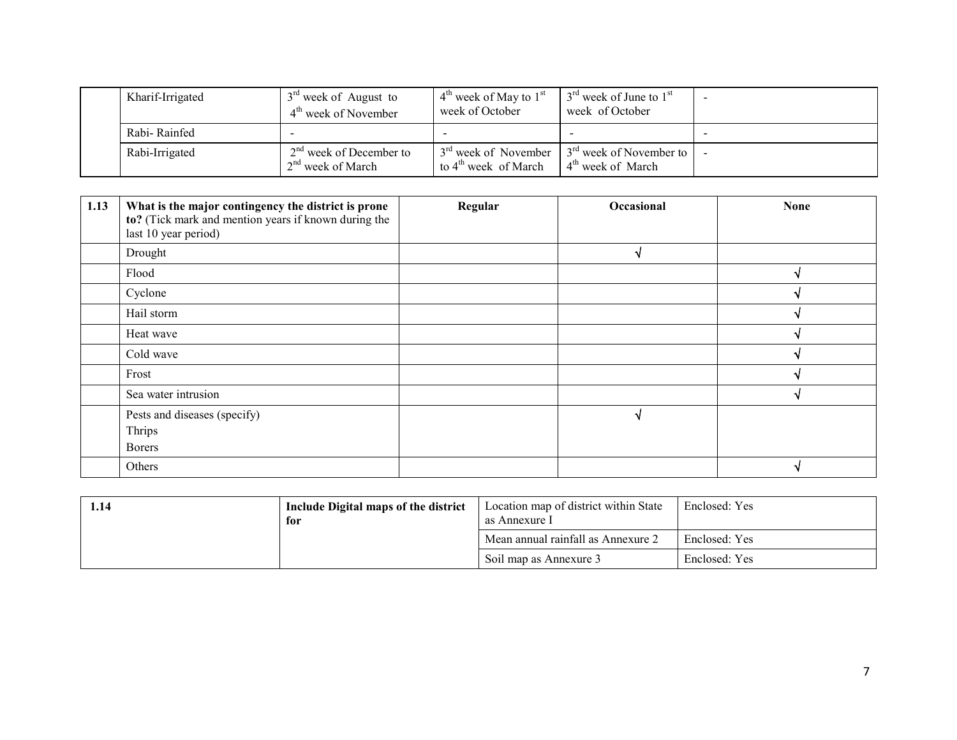| Kharif-Irrigated | $3rd$ week of August to<br>$4th$ week of November | $4th$ week of May to $1st$<br>week of October                        | $3rd$ week of June to $1st$<br>week of October                 |  |
|------------------|---------------------------------------------------|----------------------------------------------------------------------|----------------------------------------------------------------|--|
| Rabi-Rainfed     |                                                   |                                                                      |                                                                |  |
| Rabi-Irrigated   | $2nd$ week of December to<br>$2nd$ week of March  | 3 <sup>rd</sup> week of November<br>to 4 <sup>th</sup> week of March | $3rd$ week of November to $ $<br>4 <sup>th</sup> week of March |  |

| 1.13 | What is the major contingency the district is prone<br>to? (Tick mark and mention years if known during the<br>last 10 year period) | Regular | Occasional | <b>None</b> |
|------|-------------------------------------------------------------------------------------------------------------------------------------|---------|------------|-------------|
|      | Drought                                                                                                                             |         |            |             |
|      | Flood                                                                                                                               |         |            |             |
|      | Cyclone                                                                                                                             |         |            |             |
|      | Hail storm                                                                                                                          |         |            |             |
|      | Heat wave                                                                                                                           |         |            |             |
|      | Cold wave                                                                                                                           |         |            |             |
|      | Frost                                                                                                                               |         |            |             |
|      | Sea water intrusion                                                                                                                 |         |            |             |
|      | Pests and diseases (specify)<br>Thrips<br><b>Borers</b>                                                                             |         |            |             |
|      | Others                                                                                                                              |         |            |             |

| 1.14 | Include Digital maps of the district<br>for |                                    | Enclosed: Yes |
|------|---------------------------------------------|------------------------------------|---------------|
|      |                                             | Mean annual rainfall as Annexure 2 | Enclosed: Yes |
|      |                                             | Soil map as Annexure 3             | Enclosed: Yes |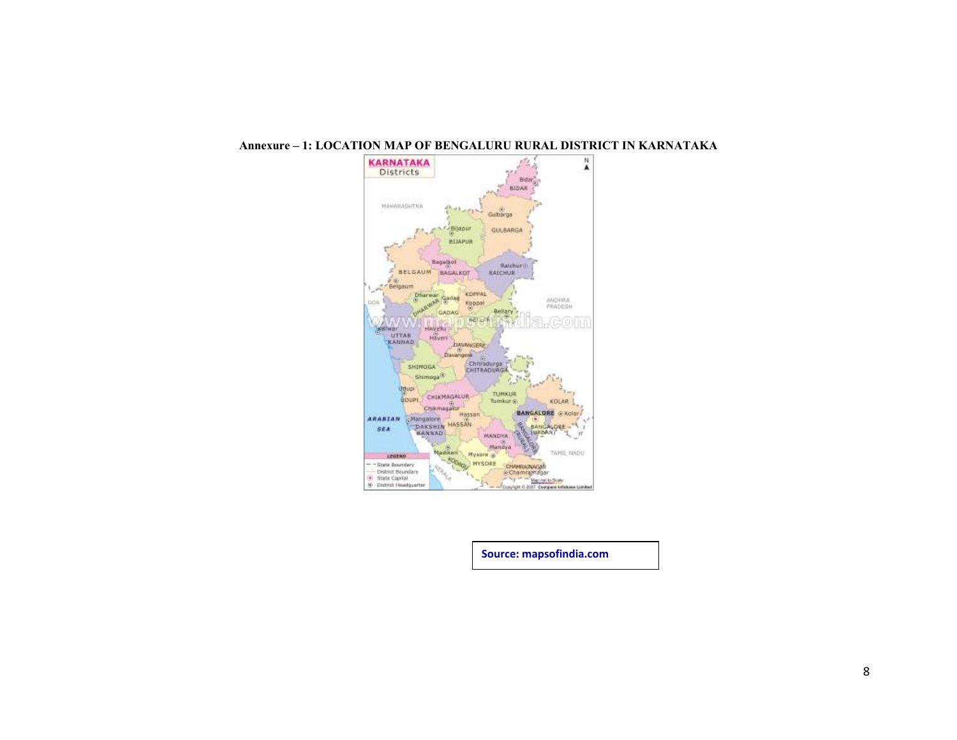

#### Annexure – 1: LOCATION MAP OF BENGALURU RURAL DISTRICT IN KARNATAKA

Source: mapsofindia.com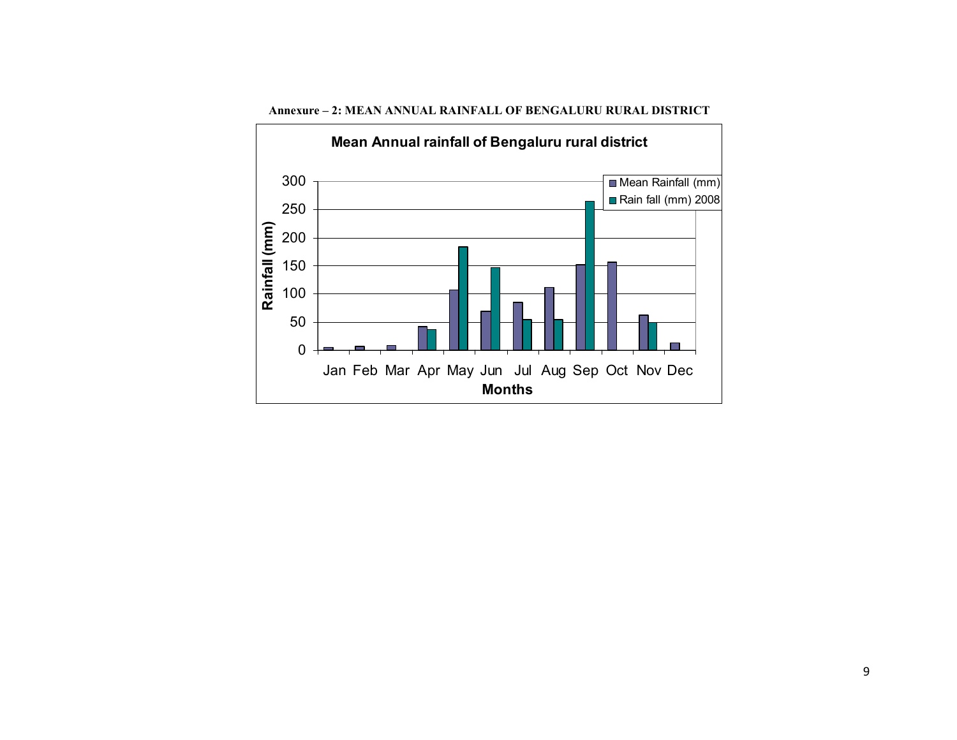

Annexure – 2: MEAN ANNUAL RAINFALL OF BENGALURU RURAL DISTRICT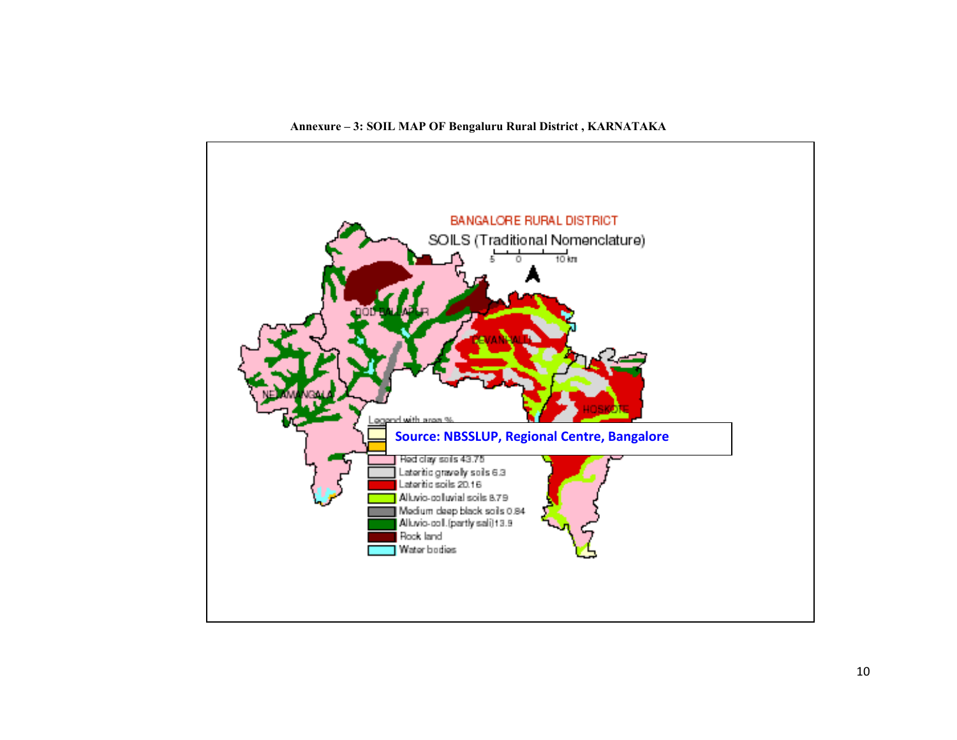

Annexure – 3: SOIL MAP OF Bengaluru Rural District , KARNATAKA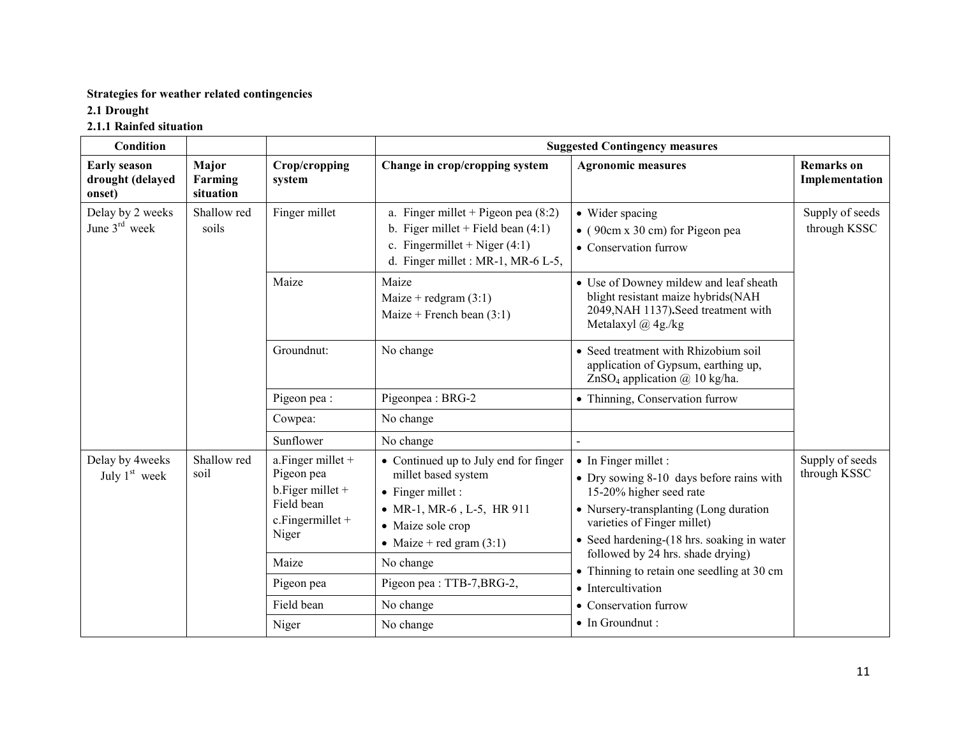## Strategies for weather related contingencies

# 2.1 Drought

## 2.1.1 Rainfed situation

| <b>Condition</b>                                  |                               |                                                                                                      | <b>Suggested Contingency measures</b>                                                                                                                                     |                                                                                                                                                                                                                            |                                     |  |
|---------------------------------------------------|-------------------------------|------------------------------------------------------------------------------------------------------|---------------------------------------------------------------------------------------------------------------------------------------------------------------------------|----------------------------------------------------------------------------------------------------------------------------------------------------------------------------------------------------------------------------|-------------------------------------|--|
| <b>Early season</b><br>drought (delayed<br>onset) | Major<br>Farming<br>situation | Crop/cropping<br>system                                                                              | Change in crop/cropping system                                                                                                                                            | <b>Agronomic measures</b>                                                                                                                                                                                                  | <b>Remarks</b> on<br>Implementation |  |
| Delay by 2 weeks<br>June $3rd$ week               | Shallow red<br>soils          | Finger millet                                                                                        | a. Finger millet + Pigeon pea $(8:2)$<br>b. Figer millet + Field bean $(4:1)$<br>c. Fingermillet + Niger $(4:1)$<br>d. Finger millet : MR-1, MR-6 L-5,                    | • Wider spacing<br>$\bullet$ (90cm x 30 cm) for Pigeon pea<br>• Conservation furrow                                                                                                                                        | Supply of seeds<br>through KSSC     |  |
|                                                   |                               | Maize                                                                                                | Maize<br>Maize + redgram $(3:1)$<br>Maize + French bean $(3:1)$                                                                                                           | • Use of Downey mildew and leaf sheath<br>blight resistant maize hybrids(NAH<br>2049, NAH 1137). Seed treatment with<br>Metalaxyl $(a)$ 4g./kg                                                                             |                                     |  |
|                                                   |                               | Groundnut:                                                                                           | No change                                                                                                                                                                 | • Seed treatment with Rhizobium soil<br>application of Gypsum, earthing up,<br>ZnSO <sub>4</sub> application $\omega$ 10 kg/ha.                                                                                            |                                     |  |
|                                                   |                               | Pigeon pea :                                                                                         | Pigeonpea: BRG-2                                                                                                                                                          | · Thinning, Conservation furrow                                                                                                                                                                                            |                                     |  |
|                                                   |                               | Cowpea:                                                                                              | No change                                                                                                                                                                 |                                                                                                                                                                                                                            |                                     |  |
|                                                   |                               | Sunflower                                                                                            | No change                                                                                                                                                                 |                                                                                                                                                                                                                            |                                     |  |
| Delay by 4weeks<br>July $1st$ week                | Shallow red<br>soil           | a. Finger millet $+$<br>Pigeon pea<br>$b.$ Figer millet +<br>Field bean<br>c.Fingermillet +<br>Niger | • Continued up to July end for finger<br>millet based system<br>$\bullet$ Finger millet :<br>• MR-1, MR-6, L-5, HR 911<br>• Maize sole crop<br>• Maize + red gram $(3:1)$ | $\bullet$ In Finger millet :<br>• Dry sowing 8-10 days before rains with<br>15-20% higher seed rate<br>• Nursery-transplanting (Long duration<br>varieties of Finger millet)<br>• Seed hardening-(18 hrs. soaking in water | Supply of seeds<br>through KSSC     |  |
|                                                   |                               | Maize                                                                                                | No change                                                                                                                                                                 | followed by 24 hrs. shade drying)<br>• Thinning to retain one seedling at 30 cm                                                                                                                                            |                                     |  |
|                                                   |                               | Pigeon pea                                                                                           | Pigeon pea : TTB-7, BRG-2,                                                                                                                                                | • Intercultivation                                                                                                                                                                                                         |                                     |  |
|                                                   |                               | Field bean                                                                                           | No change                                                                                                                                                                 | • Conservation furrow                                                                                                                                                                                                      |                                     |  |
|                                                   |                               | Niger                                                                                                | No change                                                                                                                                                                 | • In Groundnut :                                                                                                                                                                                                           |                                     |  |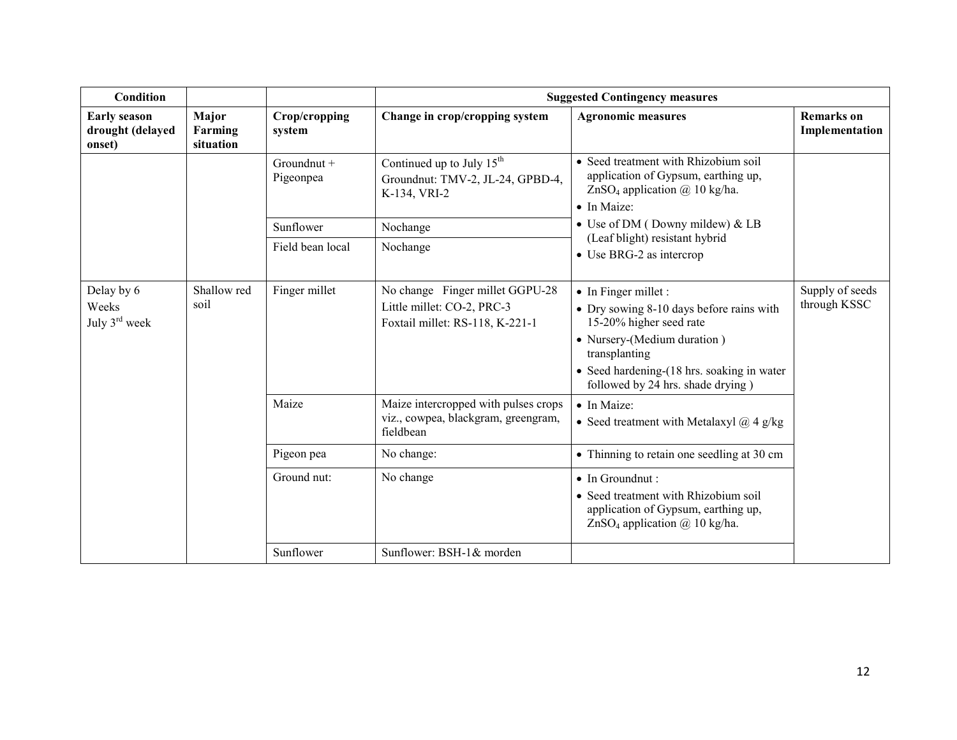| <b>Condition</b>                                  |                               |                            | <b>Suggested Contingency measures</b>                                                            |                                                                                                                                                                                                                                |                                     |  |
|---------------------------------------------------|-------------------------------|----------------------------|--------------------------------------------------------------------------------------------------|--------------------------------------------------------------------------------------------------------------------------------------------------------------------------------------------------------------------------------|-------------------------------------|--|
| <b>Early season</b><br>drought (delayed<br>onset) | Major<br>Farming<br>situation | Crop/cropping<br>system    | Change in crop/cropping system                                                                   | <b>Agronomic measures</b>                                                                                                                                                                                                      | <b>Remarks</b> on<br>Implementation |  |
|                                                   |                               | $Groundnut +$<br>Pigeonpea | Continued up to July 15 <sup>th</sup><br>Groundnut: TMV-2, JL-24, GPBD-4,<br>K-134, VRI-2        | • Seed treatment with Rhizobium soil<br>application of Gypsum, earthing up,<br>ZnSO <sub>4</sub> application $\omega$ 10 kg/ha.<br>• In Maize:                                                                                 |                                     |  |
|                                                   |                               | Sunflower                  | Nochange                                                                                         | • Use of DM (Downy mildew) & LB                                                                                                                                                                                                |                                     |  |
|                                                   |                               | Field bean local           | Nochange                                                                                         | (Leaf blight) resistant hybrid<br>$\bullet$ Use BRG-2 as intercrop                                                                                                                                                             |                                     |  |
| Delay by 6<br>Weeks<br>July $3^{\text{rd}}$ week  | Shallow red<br>soil           | Finger millet              | No change Finger millet GGPU-28<br>Little millet: CO-2, PRC-3<br>Foxtail millet: RS-118, K-221-1 | • In Finger millet :<br>• Dry sowing 8-10 days before rains with<br>15-20% higher seed rate<br>• Nursery-(Medium duration)<br>transplanting<br>• Seed hardening-(18 hrs. soaking in water<br>followed by 24 hrs. shade drying) | Supply of seeds<br>through KSSC     |  |
|                                                   |                               | Maize                      | Maize intercropped with pulses crops<br>viz., cowpea, blackgram, greengram,<br>fieldbean         | • In Maize:<br>• Seed treatment with Metalaxyl $\omega$ 4 g/kg                                                                                                                                                                 |                                     |  |
|                                                   |                               | Pigeon pea                 | No change:                                                                                       | • Thinning to retain one seedling at 30 cm                                                                                                                                                                                     |                                     |  |
|                                                   |                               | Ground nut:                | No change                                                                                        | • In Groundnut :<br>• Seed treatment with Rhizobium soil<br>application of Gypsum, earthing up,<br>ZnSO <sub>4</sub> application $\omega$ 10 kg/ha.                                                                            |                                     |  |
|                                                   |                               | Sunflower                  | Sunflower: BSH-1& morden                                                                         |                                                                                                                                                                                                                                |                                     |  |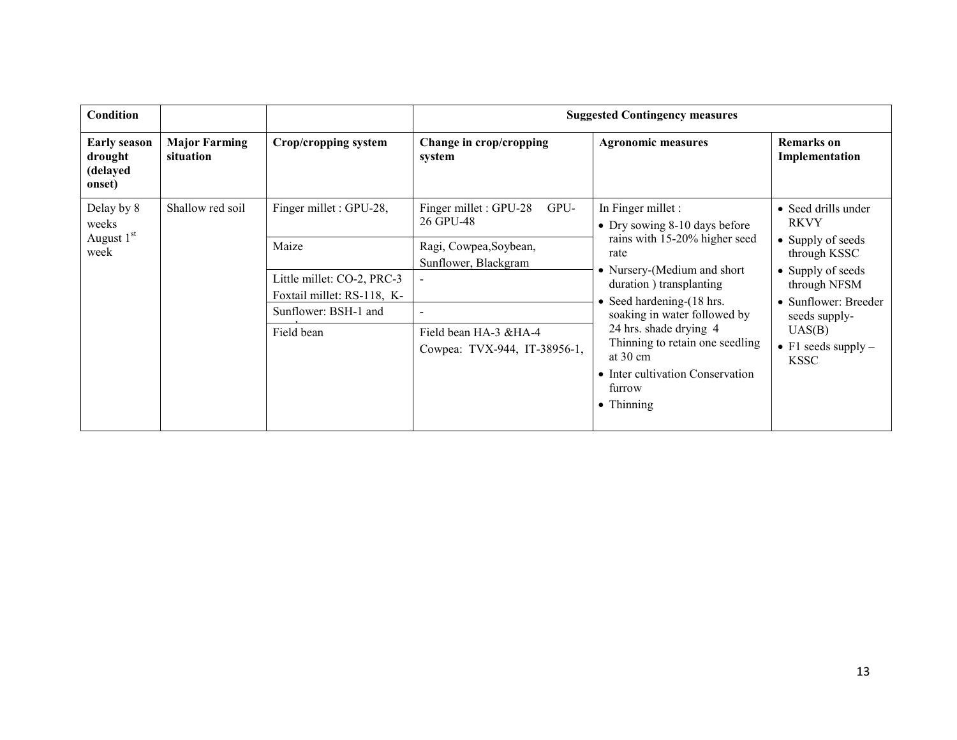| <b>Condition</b>                                     |                                   |                                                          |                                                        | <b>Suggested Contingency measures</b>                                                                                                                                    |                                                                                                |
|------------------------------------------------------|-----------------------------------|----------------------------------------------------------|--------------------------------------------------------|--------------------------------------------------------------------------------------------------------------------------------------------------------------------------|------------------------------------------------------------------------------------------------|
| <b>Early season</b><br>drought<br>(delayed<br>onset) | <b>Major Farming</b><br>situation | Crop/cropping system                                     | Change in crop/cropping<br>system                      | <b>Agronomic measures</b>                                                                                                                                                | <b>Remarks</b> on<br>Implementation                                                            |
| Delay by 8<br>weeks                                  | Shallow red soil                  | Finger millet : GPU-28,                                  | Finger millet: GPU-28<br>GPU-<br>26 GPU-48             | In Finger millet :<br>• Dry sowing $8-10$ days before                                                                                                                    | • Seed drills under<br><b>RKVY</b>                                                             |
| August 1st<br>week                                   |                                   | Maize                                                    | Ragi, Cowpea, Soybean,<br>Sunflower, Blackgram         | rains with 15-20% higher seed<br>rate<br>• Nursery-(Medium and short<br>duration) transplanting<br>• Seed hardening- $(18 \text{ hrs.})$<br>soaking in water followed by | • Supply of seeds<br>through KSSC<br>• Supply of seeds<br>through NFSM<br>• Sunflower: Breeder |
|                                                      |                                   | Little millet: CO-2, PRC-3<br>Foxtail millet: RS-118, K- |                                                        |                                                                                                                                                                          |                                                                                                |
|                                                      |                                   | Sunflower: BSH-1 and                                     | $\sim$                                                 |                                                                                                                                                                          | seeds supply-                                                                                  |
|                                                      |                                   | Field bean                                               | Field bean HA-3 & HA-4<br>Cowpea: TVX-944, IT-38956-1, | 24 hrs. shade drying 4<br>Thinning to retain one seedling<br>at $30 \text{ cm}$<br>• Inter cultivation Conservation<br>furrow<br>$\bullet$ Thinning                      | UAS(B)<br>• F1 seeds supply $-$<br><b>KSSC</b>                                                 |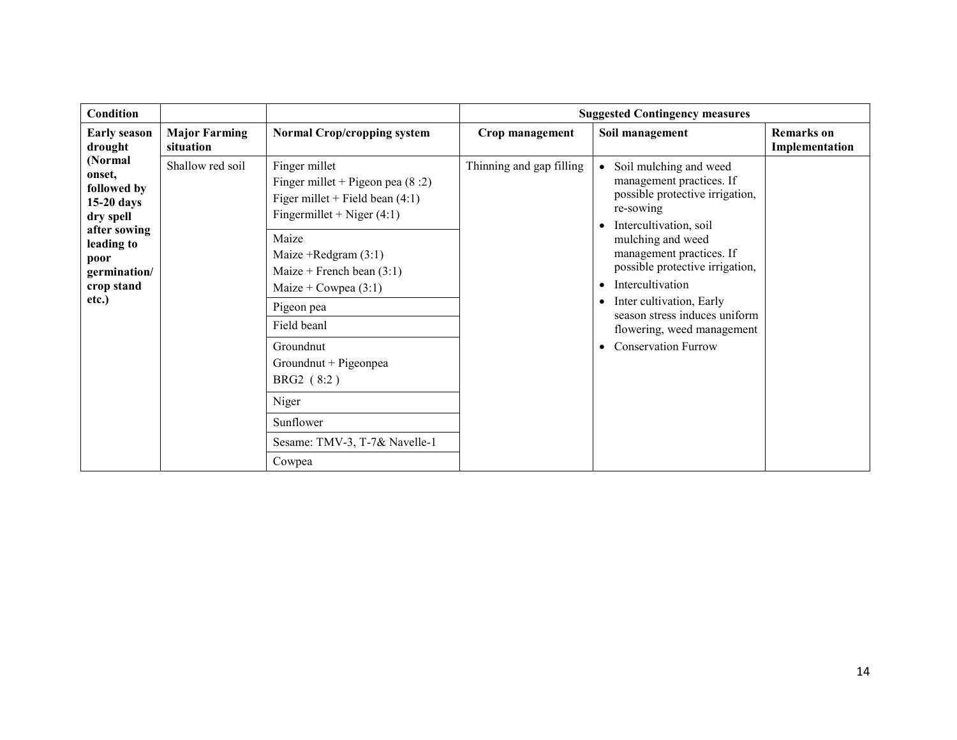| <b>Condition</b>                                                                                                                           |                                   |                                                                                                                                                                                                                                                                                                                                                                         |                          | <b>Suggested Contingency measures</b>                                                                                                                                                                                                                                                                                                                                                                |                                     |
|--------------------------------------------------------------------------------------------------------------------------------------------|-----------------------------------|-------------------------------------------------------------------------------------------------------------------------------------------------------------------------------------------------------------------------------------------------------------------------------------------------------------------------------------------------------------------------|--------------------------|------------------------------------------------------------------------------------------------------------------------------------------------------------------------------------------------------------------------------------------------------------------------------------------------------------------------------------------------------------------------------------------------------|-------------------------------------|
| <b>Early season</b><br>drought                                                                                                             | <b>Major Farming</b><br>situation | <b>Normal Crop/cropping system</b>                                                                                                                                                                                                                                                                                                                                      | Crop management          | Soil management                                                                                                                                                                                                                                                                                                                                                                                      | <b>Remarks</b> on<br>Implementation |
| (Normal<br>onset,<br>followed by<br>$15-20$ days<br>dry spell<br>after sowing<br>leading to<br>poor<br>germination/<br>crop stand<br>etc.) | Shallow red soil                  | Finger millet<br>Finger millet + Pigeon pea $(8:2)$<br>Figer millet + Field bean $(4:1)$<br>Fingermillet + Niger $(4:1)$<br>Maize<br>Maize + Redgram $(3:1)$<br>Maize + French bean $(3:1)$<br>Maize + Cowpea $(3:1)$<br>Pigeon pea<br>Field beanl<br>Groundnut<br>Groundnut + Pigeonpea<br>BRG2 (8:2)<br>Niger<br>Sunflower<br>Sesame: TMV-3, T-7& Navelle-1<br>Cowpea | Thinning and gap filling | Soil mulching and weed<br>management practices. If<br>possible protective irrigation,<br>re-sowing<br>Intercultivation, soil<br>mulching and weed<br>management practices. If<br>possible protective irrigation,<br>Intercultivation<br>$\bullet$<br>Inter cultivation, Early<br>$\bullet$<br>season stress induces uniform<br>flowering, weed management<br><b>Conservation Furrow</b><br>$\bullet$ |                                     |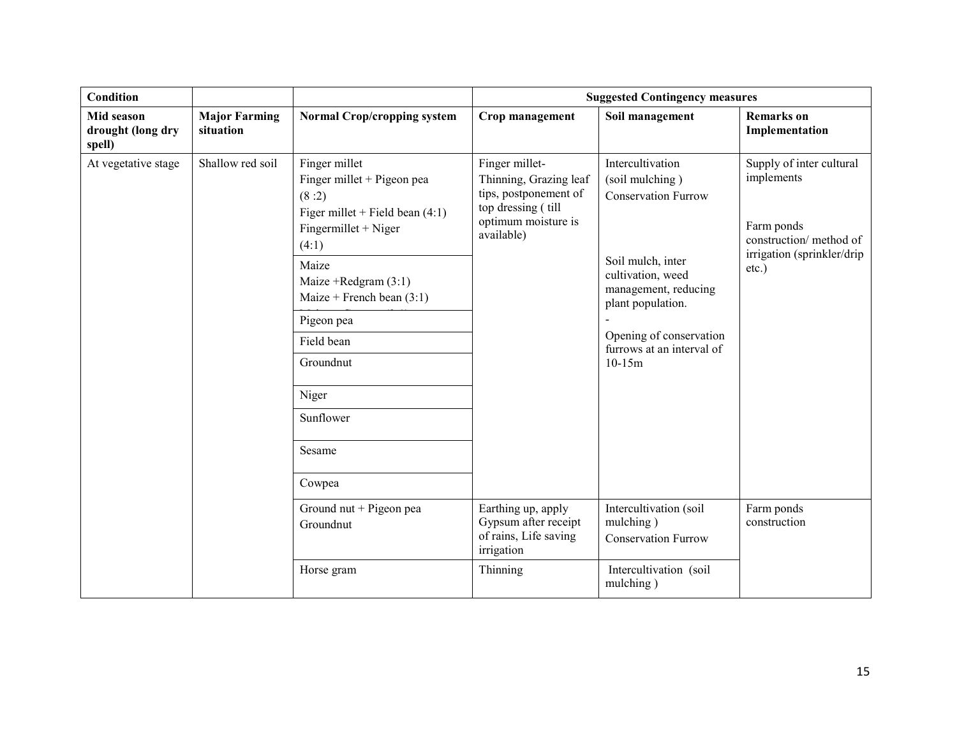| Condition                                 |                                   |                                                                                                                                                                                                                                                                                 |                                                                                                                              | <b>Suggested Contingency measures</b>                                                                                                                                                                                        |                                                                                                                        |
|-------------------------------------------|-----------------------------------|---------------------------------------------------------------------------------------------------------------------------------------------------------------------------------------------------------------------------------------------------------------------------------|------------------------------------------------------------------------------------------------------------------------------|------------------------------------------------------------------------------------------------------------------------------------------------------------------------------------------------------------------------------|------------------------------------------------------------------------------------------------------------------------|
| Mid season<br>drought (long dry<br>spell) | <b>Major Farming</b><br>situation | <b>Normal Crop/cropping system</b>                                                                                                                                                                                                                                              | Crop management                                                                                                              | Soil management                                                                                                                                                                                                              | <b>Remarks</b> on<br>Implementation                                                                                    |
| At vegetative stage                       | Shallow red soil                  | Finger millet<br>Finger millet + Pigeon pea<br>(8:2)<br>Figer millet + Field bean $(4:1)$<br>Fingermillet + Niger<br>(4:1)<br>Maize<br>Maize +Redgram $(3:1)$<br>Maize + French bean $(3:1)$<br>Pigeon pea<br>Field bean<br>Groundnut<br>Niger<br>Sunflower<br>Sesame<br>Cowpea | Finger millet-<br>Thinning, Grazing leaf<br>tips, postponement of<br>top dressing (till<br>optimum moisture is<br>available) | Intercultivation<br>(soil mulching)<br><b>Conservation Furrow</b><br>Soil mulch, inter<br>cultivation, weed<br>management, reducing<br>plant population.<br>Opening of conservation<br>furrows at an interval of<br>$10-15m$ | Supply of inter cultural<br>implements<br>Farm ponds<br>construction/ method of<br>irrigation (sprinkler/drip<br>etc.) |
|                                           |                                   | Ground nut + Pigeon pea<br>Groundnut                                                                                                                                                                                                                                            | Earthing up, apply<br>Gypsum after receipt<br>of rains, Life saving<br>irrigation                                            | Intercultivation (soil<br>mulching)<br><b>Conservation Furrow</b>                                                                                                                                                            | Farm ponds<br>construction                                                                                             |
|                                           |                                   | Horse gram                                                                                                                                                                                                                                                                      | Thinning                                                                                                                     | Intercultivation (soil<br>mulching)                                                                                                                                                                                          |                                                                                                                        |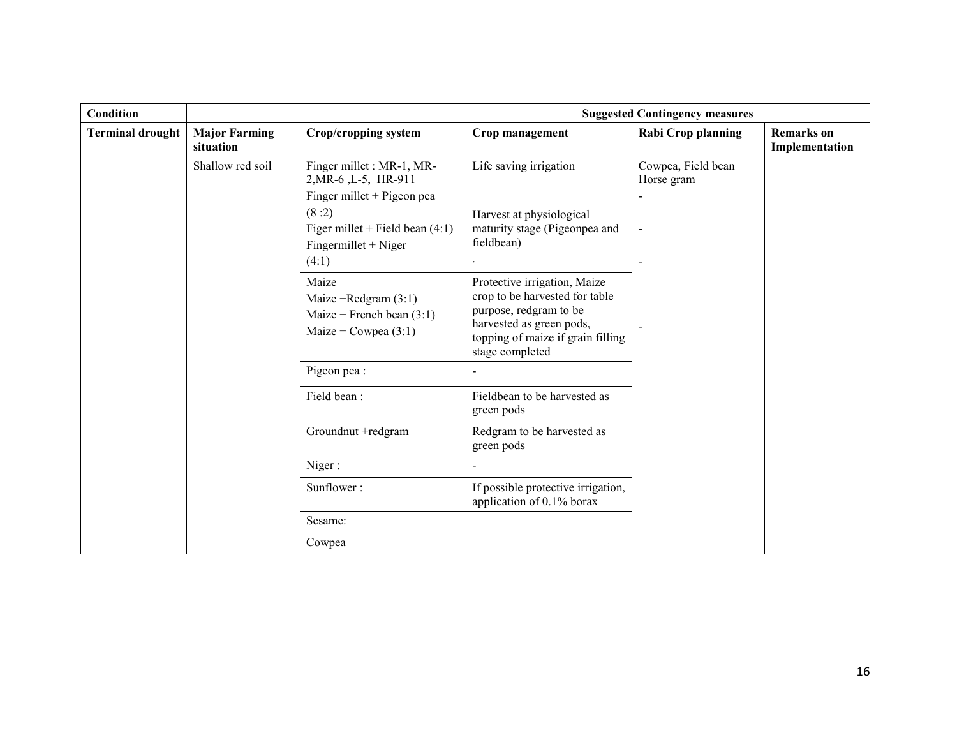| <b>Condition</b>        |                                   |                                                                                                                                                                  |                                                                                                                                                                              | <b>Suggested Contingency measures</b> |                                     |
|-------------------------|-----------------------------------|------------------------------------------------------------------------------------------------------------------------------------------------------------------|------------------------------------------------------------------------------------------------------------------------------------------------------------------------------|---------------------------------------|-------------------------------------|
| <b>Terminal drought</b> | <b>Major Farming</b><br>situation | Crop/cropping system                                                                                                                                             | Crop management                                                                                                                                                              | <b>Rabi Crop planning</b>             | <b>Remarks</b> on<br>Implementation |
|                         | Shallow red soil                  | Finger millet : MR-1, MR-<br>2, MR-6, L-5, HR-911<br>Finger millet $+$ Pigeon pea<br>(8:2)<br>Figer millet + Field bean $(4:1)$<br>Fingermillet + Niger<br>(4:1) | Life saving irrigation<br>Harvest at physiological<br>maturity stage (Pigeonpea and<br>fieldbean)                                                                            | Cowpea, Field bean<br>Horse gram      |                                     |
|                         |                                   | Maize<br>Maize +Redgram $(3:1)$<br>Maize + French bean $(3:1)$<br>Maize + Cowpea $(3:1)$                                                                         | Protective irrigation, Maize<br>crop to be harvested for table<br>purpose, redgram to be<br>harvested as green pods,<br>topping of maize if grain filling<br>stage completed |                                       |                                     |
|                         |                                   | Pigeon pea:                                                                                                                                                      |                                                                                                                                                                              |                                       |                                     |
|                         |                                   | Field bean:                                                                                                                                                      | Fieldbean to be harvested as<br>green pods                                                                                                                                   |                                       |                                     |
|                         |                                   | Groundnut +redgram                                                                                                                                               | Redgram to be harvested as<br>green pods                                                                                                                                     |                                       |                                     |
|                         |                                   | Niger:                                                                                                                                                           |                                                                                                                                                                              |                                       |                                     |
|                         |                                   | Sunflower:                                                                                                                                                       | If possible protective irrigation,<br>application of 0.1% borax                                                                                                              |                                       |                                     |
|                         |                                   | Sesame:                                                                                                                                                          |                                                                                                                                                                              |                                       |                                     |
|                         |                                   | Cowpea                                                                                                                                                           |                                                                                                                                                                              |                                       |                                     |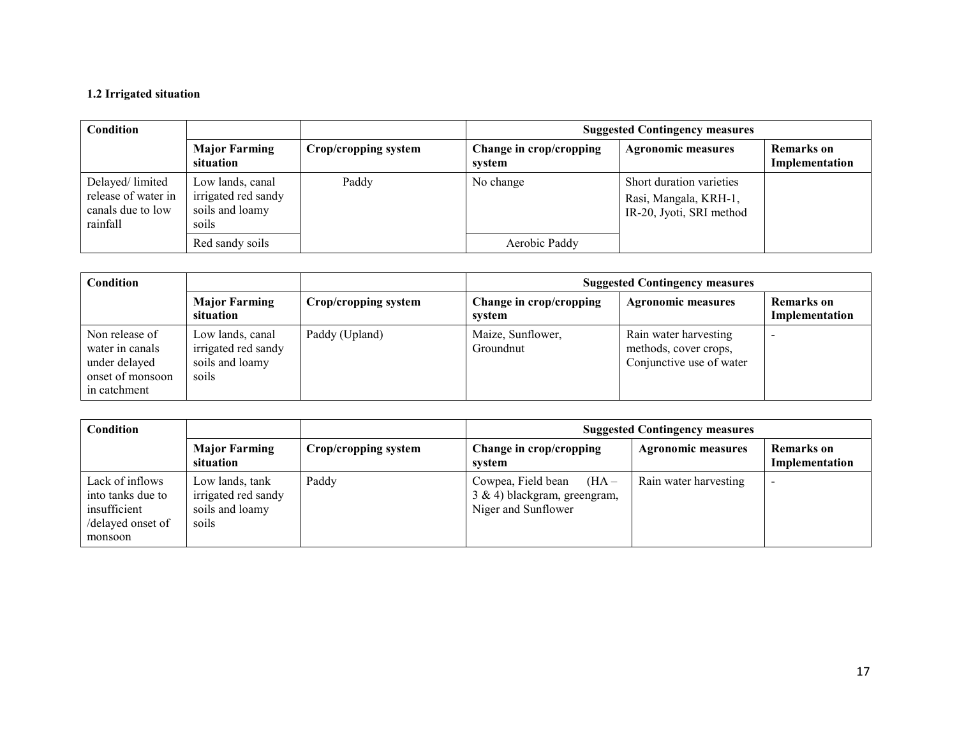# 1.2 Irrigated situation

| Condition                                                               |                                                                     |                      | <b>Suggested Contingency measures</b> |                                                                               |                              |  |
|-------------------------------------------------------------------------|---------------------------------------------------------------------|----------------------|---------------------------------------|-------------------------------------------------------------------------------|------------------------------|--|
|                                                                         | <b>Major Farming</b><br>situation                                   | Crop/cropping system | Change in crop/cropping<br>system     | <b>Agronomic measures</b>                                                     | Remarks on<br>Implementation |  |
| Delayed/limited<br>release of water in<br>canals due to low<br>rainfall | Low lands, canal<br>irrigated red sandy<br>soils and loamy<br>soils | Paddy                | No change                             | Short duration varieties<br>Rasi, Mangala, KRH-1,<br>IR-20, Jyoti, SRI method |                              |  |
|                                                                         | Red sandy soils                                                     |                      | Aerobic Paddy                         |                                                                               |                              |  |

| Condition                                                                              |                                                                     |                      | <b>Suggested Contingency measures</b> |                                                                            |                              |
|----------------------------------------------------------------------------------------|---------------------------------------------------------------------|----------------------|---------------------------------------|----------------------------------------------------------------------------|------------------------------|
|                                                                                        | <b>Major Farming</b><br>situation                                   | Crop/cropping system | Change in crop/cropping<br>system     | <b>Agronomic measures</b>                                                  | Remarks on<br>Implementation |
| Non release of<br>water in canals<br>under delayed<br>onset of monsoon<br>in catchment | Low lands, canal<br>irrigated red sandy<br>soils and loamy<br>soils | Paddy (Upland)       | Maize, Sunflower,<br>Groundnut        | Rain water harvesting<br>methods, cover crops,<br>Conjunctive use of water | -                            |

| Condition                                                                            |                                                                     |                      | <b>Suggested Contingency measures</b>                                                |                           |                              |  |
|--------------------------------------------------------------------------------------|---------------------------------------------------------------------|----------------------|--------------------------------------------------------------------------------------|---------------------------|------------------------------|--|
|                                                                                      | <b>Major Farming</b><br>situation                                   | Crop/cropping system | Change in crop/cropping<br>system                                                    | <b>Agronomic measures</b> | Remarks on<br>Implementation |  |
| Lack of inflows<br>into tanks due to<br>insufficient<br>/delayed onset of<br>monsoon | Low lands, tank<br>irrigated red sandy<br>soils and loamy<br>soils. | Paddy                | Cowpea, Field bean<br>$(HA -$<br>3 & 4) blackgram, greengram,<br>Niger and Sunflower | Rain water harvesting     | $\overline{\phantom{0}}$     |  |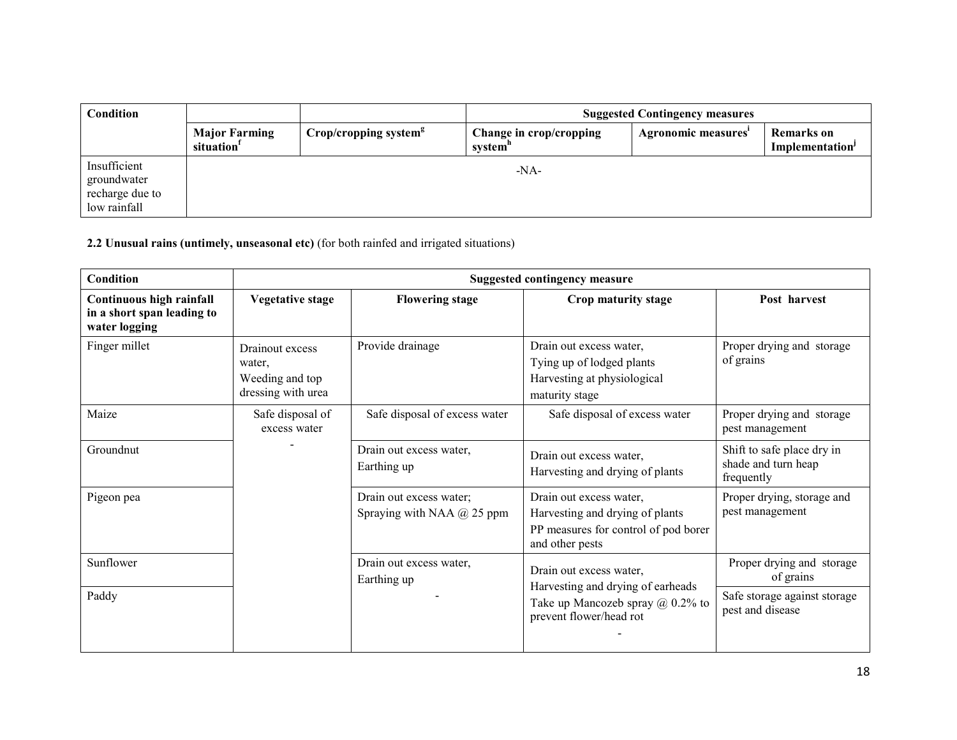| <b>Condition</b>                                               |                                                | <b>Suggested Contingency measures</b> |                                                |                     |                                                  |
|----------------------------------------------------------------|------------------------------------------------|---------------------------------------|------------------------------------------------|---------------------|--------------------------------------------------|
|                                                                | <b>Major Farming</b><br>situation <sup>1</sup> | Crop/cropping system <sup>g</sup>     | Change in crop/cropping<br>system <sup>n</sup> | Agronomic measures' | <b>Remarks</b> on<br>Implementation <sup>J</sup> |
| Insufficient<br>groundwater<br>recharge due to<br>low rainfall |                                                |                                       | $-NA$                                          |                     |                                                  |

2.2 Unusual rains (untimely, unseasonal etc) (for both rainfed and irrigated situations)

| <b>Condition</b>                                                        |                                                                    |                                                              | <b>Suggested contingency measure</b>                                                                                  |                                                                 |
|-------------------------------------------------------------------------|--------------------------------------------------------------------|--------------------------------------------------------------|-----------------------------------------------------------------------------------------------------------------------|-----------------------------------------------------------------|
| Continuous high rainfall<br>in a short span leading to<br>water logging | <b>Vegetative stage</b>                                            | <b>Flowering stage</b>                                       | Crop maturity stage                                                                                                   | Post harvest                                                    |
| Finger millet                                                           | Drainout excess<br>water.<br>Weeding and top<br>dressing with urea | Provide drainage                                             | Drain out excess water,<br>Tying up of lodged plants<br>Harvesting at physiological<br>maturity stage                 | Proper drying and storage<br>of grains                          |
| Maize                                                                   | Safe disposal of<br>excess water                                   | Safe disposal of excess water                                | Safe disposal of excess water                                                                                         | Proper drying and storage<br>pest management                    |
| Groundnut                                                               |                                                                    | Drain out excess water,<br>Earthing up                       | Drain out excess water,<br>Harvesting and drying of plants                                                            | Shift to safe place dry in<br>shade and turn heap<br>frequently |
| Pigeon pea                                                              |                                                                    | Drain out excess water;<br>Spraying with NAA $\omega$ 25 ppm | Drain out excess water,<br>Harvesting and drying of plants<br>PP measures for control of pod borer<br>and other pests | Proper drying, storage and<br>pest management                   |
| Sunflower                                                               |                                                                    | Drain out excess water,<br>Earthing up                       | Drain out excess water,                                                                                               | Proper drying and storage<br>of grains                          |
| Paddy                                                                   |                                                                    |                                                              | Harvesting and drying of earheads<br>Take up Mancozeb spray $(a)$ 0.2% to<br>prevent flower/head rot                  | Safe storage against storage<br>pest and disease                |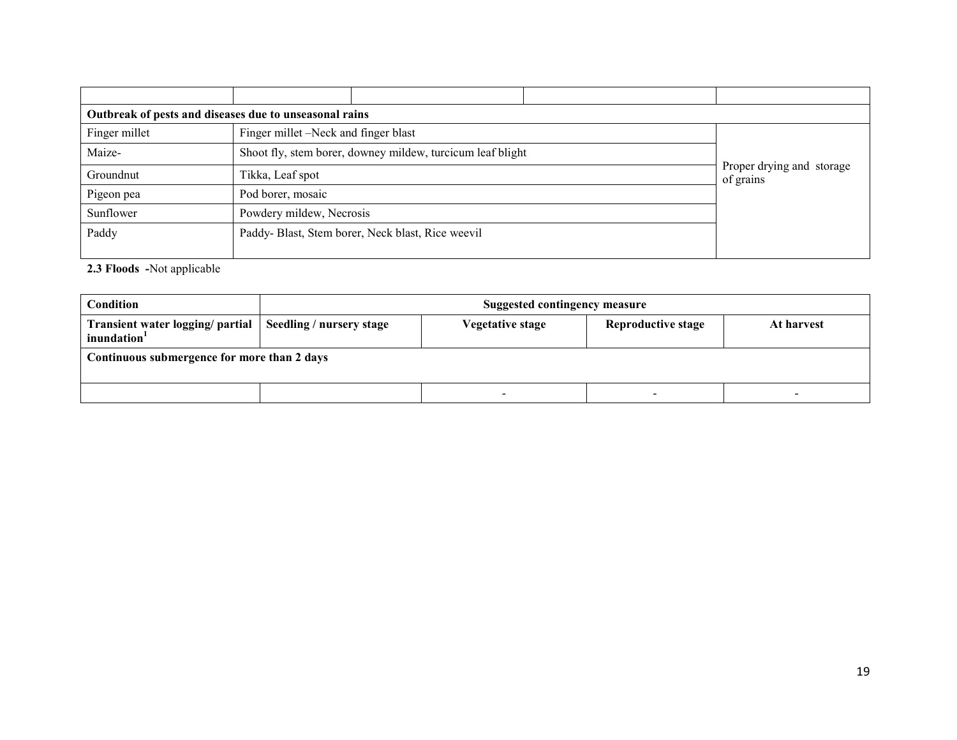| Outbreak of pests and diseases due to unseasonal rains |                                      |                                                            |  |                                        |  |
|--------------------------------------------------------|--------------------------------------|------------------------------------------------------------|--|----------------------------------------|--|
| Finger millet                                          | Finger millet –Neck and finger blast |                                                            |  |                                        |  |
| Maize-                                                 |                                      | Shoot fly, stem borer, downey mildew, turcicum leaf blight |  |                                        |  |
| Groundnut                                              | Tikka, Leaf spot                     |                                                            |  | Proper drying and storage<br>of grains |  |
| Pigeon pea                                             | Pod borer, mosaic                    |                                                            |  |                                        |  |
| Sunflower                                              |                                      | Powdery mildew, Necrosis                                   |  |                                        |  |
| Paddy                                                  |                                      | Paddy-Blast, Stem borer, Neck blast, Rice weevil           |  |                                        |  |
|                                                        |                                      |                                                            |  |                                        |  |

2.3 Floods -Not applicable

| Condition                                                                              | <b>Suggested contingency measure</b>                 |  |                          |  |  |  |
|----------------------------------------------------------------------------------------|------------------------------------------------------|--|--------------------------|--|--|--|
| Transient water logging/ partial   Seedling / nursery stage<br>inundation <sup>1</sup> | Reproductive stage<br>Vegetative stage<br>At harvest |  |                          |  |  |  |
| Continuous submergence for more than 2 days                                            |                                                      |  |                          |  |  |  |
|                                                                                        |                                                      |  | $\overline{\phantom{0}}$ |  |  |  |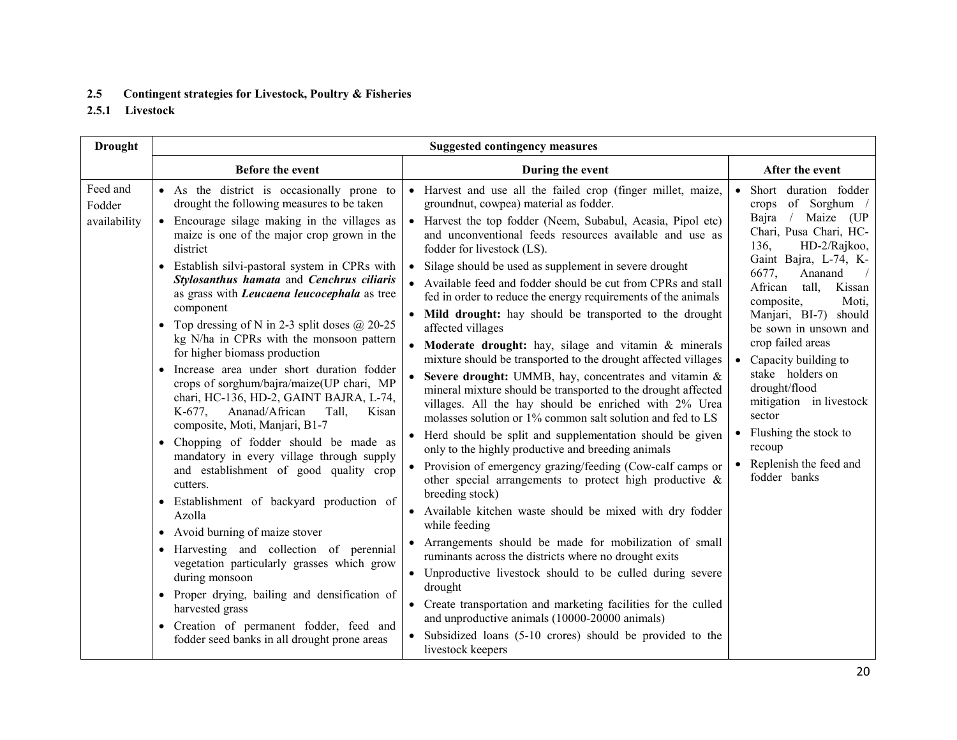## 2.5 Contingent strategies for Livestock, Poultry & Fisheries

2.5.1 Livestock

| <b>Drought</b>                     | <b>Suggested contingency measures</b>                                                                                                                                                                                                                                                                                                                                                                                                                                                                                                                                                                                                                                                                                                                                                                                                                                                                                                                                                                                                                                                                                                                                                                                                                                    |                                                                                                                                                                                                                                                                                                                                                                                                                                                                                                                                                                                                                                                                                                                                                                                                                                                                                                                                                                                                                                                                                                                                                                                                                                                                                                                                                                                                                                                                                                                                                                                                                                                                                             |                                                                                                                                                                                                                                                                                                                                                                                                                                                                                                  |  |  |
|------------------------------------|--------------------------------------------------------------------------------------------------------------------------------------------------------------------------------------------------------------------------------------------------------------------------------------------------------------------------------------------------------------------------------------------------------------------------------------------------------------------------------------------------------------------------------------------------------------------------------------------------------------------------------------------------------------------------------------------------------------------------------------------------------------------------------------------------------------------------------------------------------------------------------------------------------------------------------------------------------------------------------------------------------------------------------------------------------------------------------------------------------------------------------------------------------------------------------------------------------------------------------------------------------------------------|---------------------------------------------------------------------------------------------------------------------------------------------------------------------------------------------------------------------------------------------------------------------------------------------------------------------------------------------------------------------------------------------------------------------------------------------------------------------------------------------------------------------------------------------------------------------------------------------------------------------------------------------------------------------------------------------------------------------------------------------------------------------------------------------------------------------------------------------------------------------------------------------------------------------------------------------------------------------------------------------------------------------------------------------------------------------------------------------------------------------------------------------------------------------------------------------------------------------------------------------------------------------------------------------------------------------------------------------------------------------------------------------------------------------------------------------------------------------------------------------------------------------------------------------------------------------------------------------------------------------------------------------------------------------------------------------|--------------------------------------------------------------------------------------------------------------------------------------------------------------------------------------------------------------------------------------------------------------------------------------------------------------------------------------------------------------------------------------------------------------------------------------------------------------------------------------------------|--|--|
|                                    | <b>Before the event</b>                                                                                                                                                                                                                                                                                                                                                                                                                                                                                                                                                                                                                                                                                                                                                                                                                                                                                                                                                                                                                                                                                                                                                                                                                                                  | During the event                                                                                                                                                                                                                                                                                                                                                                                                                                                                                                                                                                                                                                                                                                                                                                                                                                                                                                                                                                                                                                                                                                                                                                                                                                                                                                                                                                                                                                                                                                                                                                                                                                                                            | After the event                                                                                                                                                                                                                                                                                                                                                                                                                                                                                  |  |  |
| Feed and<br>Fodder<br>availability | • As the district is occasionally prone to<br>drought the following measures to be taken<br>• Encourage silage making in the villages as<br>maize is one of the major crop grown in the<br>district<br>• Establish silvi-pastoral system in CPRs with<br>Stylosanthus hamata and Cenchrus ciliaris<br>as grass with Leucaena leucocephala as tree<br>component<br>Top dressing of N in 2-3 split doses $\omega$ 20-25<br>$\bullet$<br>kg N/ha in CPRs with the monsoon pattern<br>for higher biomass production<br>Increase area under short duration fodder<br>$\bullet$<br>crops of sorghum/bajra/maize(UP chari, MP<br>chari, HC-136, HD-2, GAINT BAJRA, L-74,<br>K-677, Ananad/African<br>Tall,<br>Kisan<br>composite, Moti, Manjari, B1-7<br>Chopping of fodder should be made as<br>mandatory in every village through supply<br>and establishment of good quality crop<br>cutters.<br>• Establishment of backyard production of<br>Azolla<br>• Avoid burning of maize stover<br>Harvesting and collection of perennial<br>vegetation particularly grasses which grow<br>during monsoon<br>Proper drying, bailing and densification of<br>$\bullet$<br>harvested grass<br>• Creation of permanent fodder, feed and<br>fodder seed banks in all drought prone areas | • Harvest and use all the failed crop (finger millet, maize,<br>groundnut, cowpea) material as fodder.<br>• Harvest the top fodder (Neem, Subabul, Acasia, Pipol etc)<br>and unconventional feeds resources available and use as<br>fodder for livestock (LS).<br>Silage should be used as supplement in severe drought<br>• Available feed and fodder should be cut from CPRs and stall<br>fed in order to reduce the energy requirements of the animals<br>• Mild drought: hay should be transported to the drought<br>affected villages<br>• Moderate drought: hay, silage and vitamin & minerals<br>mixture should be transported to the drought affected villages<br>Severe drought: UMMB, hay, concentrates and vitamin &<br>$\bullet$<br>mineral mixture should be transported to the drought affected<br>villages. All the hay should be enriched with 2% Urea<br>molasses solution or 1% common salt solution and fed to LS<br>• Herd should be split and supplementation should be given<br>only to the highly productive and breeding animals<br>• Provision of emergency grazing/feeding (Cow-calf camps or<br>other special arrangements to protect high productive $\&$<br>breeding stock)<br>• Available kitchen waste should be mixed with dry fodder<br>while feeding<br>• Arrangements should be made for mobilization of small<br>ruminants across the districts where no drought exits<br>• Unproductive livestock should to be culled during severe<br>drought<br>• Create transportation and marketing facilities for the culled<br>and unproductive animals (10000-20000 animals)<br>• Subsidized loans (5-10 crores) should be provided to the<br>livestock keepers | • Short duration fodder<br>crops of Sorghum /<br>Bajra / Maize (UP<br>Chari, Pusa Chari, HC-<br>136,<br>HD-2/Rajkoo,<br>Gaint Bajra, L-74, K-<br>6677,<br>Ananand<br>$\sqrt{2}$<br>African<br>tall,<br>Kissan<br>composite,<br>Moti,<br>Manjari, BI-7) should<br>be sown in unsown and<br>crop failed areas<br>• Capacity building to<br>stake holders on<br>drought/flood<br>mitigation in livestock<br>sector<br>• Flushing the stock to<br>recoup<br>• Replenish the feed and<br>fodder banks |  |  |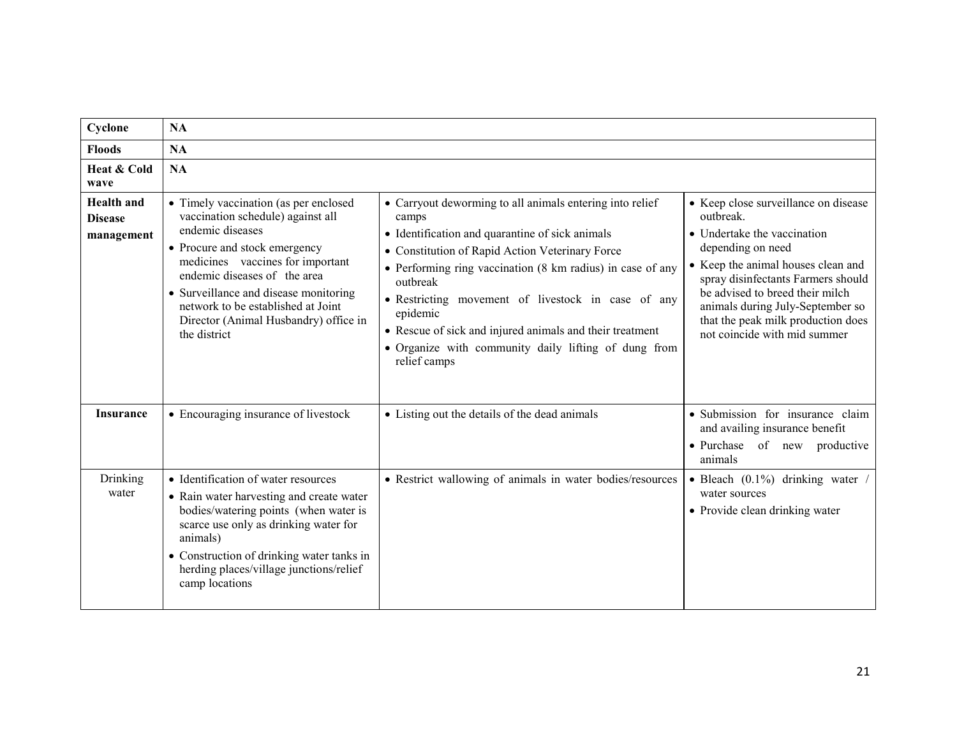| Cyclone                                           | <b>NA</b>                                                                                                                                                                                                                                                                                                                                   |                                                                                                                                                                                                                                                                                                                                                                                                                                                         |                                                                                                                                                                                                                                                                                                                                |  |  |
|---------------------------------------------------|---------------------------------------------------------------------------------------------------------------------------------------------------------------------------------------------------------------------------------------------------------------------------------------------------------------------------------------------|---------------------------------------------------------------------------------------------------------------------------------------------------------------------------------------------------------------------------------------------------------------------------------------------------------------------------------------------------------------------------------------------------------------------------------------------------------|--------------------------------------------------------------------------------------------------------------------------------------------------------------------------------------------------------------------------------------------------------------------------------------------------------------------------------|--|--|
| <b>Floods</b>                                     | <b>NA</b>                                                                                                                                                                                                                                                                                                                                   |                                                                                                                                                                                                                                                                                                                                                                                                                                                         |                                                                                                                                                                                                                                                                                                                                |  |  |
| Heat & Cold<br>wave                               | <b>NA</b>                                                                                                                                                                                                                                                                                                                                   |                                                                                                                                                                                                                                                                                                                                                                                                                                                         |                                                                                                                                                                                                                                                                                                                                |  |  |
| <b>Health</b> and<br><b>Disease</b><br>management | • Timely vaccination (as per enclosed<br>vaccination schedule) against all<br>endemic diseases<br>• Procure and stock emergency<br>medicines vaccines for important<br>endemic diseases of the area<br>• Surveillance and disease monitoring<br>network to be established at Joint<br>Director (Animal Husbandry) office in<br>the district | • Carryout deworming to all animals entering into relief<br>camps<br>• Identification and quarantine of sick animals<br>• Constitution of Rapid Action Veterinary Force<br>• Performing ring vaccination (8 km radius) in case of any<br>outbreak<br>• Restricting movement of livestock in case of any<br>epidemic<br>• Rescue of sick and injured animals and their treatment<br>• Organize with community daily lifting of dung from<br>relief camps | • Keep close surveillance on disease<br>outbreak.<br>• Undertake the vaccination<br>depending on need<br>• Keep the animal houses clean and<br>spray disinfectants Farmers should<br>be advised to breed their milch<br>animals during July-September so<br>that the peak milk production does<br>not coincide with mid summer |  |  |
| <b>Insurance</b>                                  | • Encouraging insurance of livestock                                                                                                                                                                                                                                                                                                        | • Listing out the details of the dead animals                                                                                                                                                                                                                                                                                                                                                                                                           | • Submission for insurance claim<br>and availing insurance benefit<br>· Purchase of new productive<br>animals                                                                                                                                                                                                                  |  |  |
| Drinking<br>water                                 | • Identification of water resources<br>• Rain water harvesting and create water<br>bodies/watering points (when water is<br>scarce use only as drinking water for<br>animals)<br>• Construction of drinking water tanks in<br>herding places/village junctions/relief<br>camp locations                                                     | • Restrict wallowing of animals in water bodies/resources                                                                                                                                                                                                                                                                                                                                                                                               | • Bleach $(0.1\%)$ drinking water<br>water sources<br>• Provide clean drinking water                                                                                                                                                                                                                                           |  |  |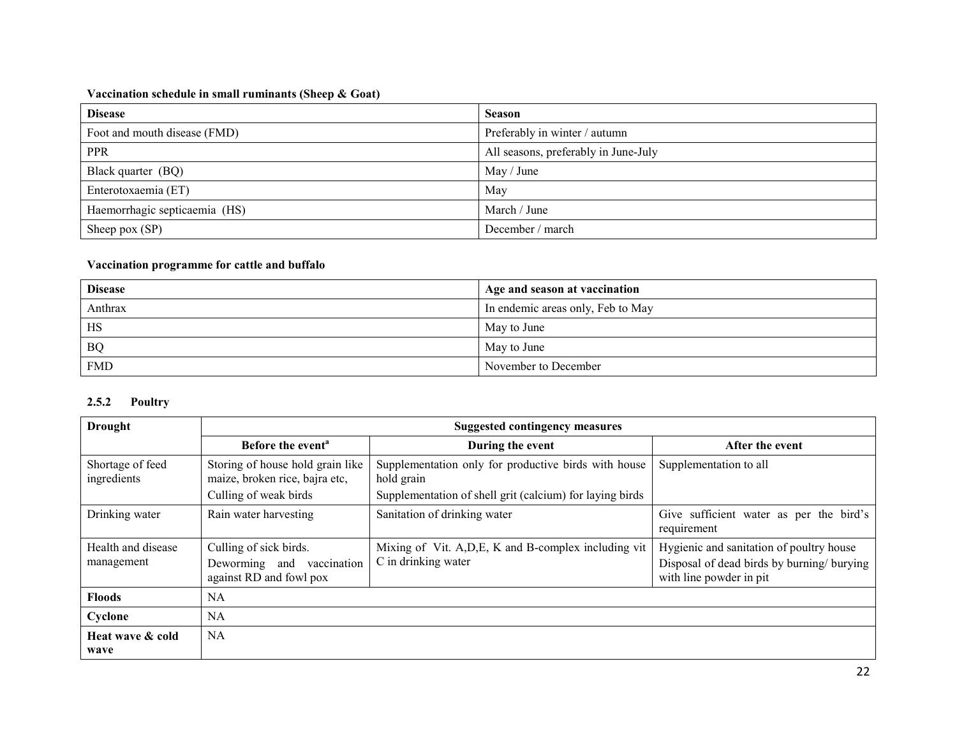### Vaccination schedule in small ruminants (Sheep & Goat)

| <b>Disease</b>                | <b>Season</b>                        |
|-------------------------------|--------------------------------------|
| Foot and mouth disease (FMD)  | Preferably in winter / autumn        |
| <b>PPR</b>                    | All seasons, preferably in June-July |
| Black quarter (BQ)            | May / June                           |
| Enterotoxaemia (ET)           | May                                  |
| Haemorrhagic septicaemia (HS) | March / June                         |
| Sheep pox (SP)                | December / march                     |

## Vaccination programme for cattle and buffalo

| <b>Disease</b> | Age and season at vaccination     |
|----------------|-----------------------------------|
| Anthrax        | In endemic areas only, Feb to May |
| <b>HS</b>      | May to June                       |
| <b>BQ</b>      | May to June                       |
| <b>FMD</b>     | November to December              |

# 2.5.2 Poultry

| <b>Drought</b>                   | <b>Suggested contingency measures</b>                                                       |                                                                                                                                |                                                                                                                   |  |  |
|----------------------------------|---------------------------------------------------------------------------------------------|--------------------------------------------------------------------------------------------------------------------------------|-------------------------------------------------------------------------------------------------------------------|--|--|
|                                  | Before the event <sup>a</sup>                                                               | During the event                                                                                                               | After the event                                                                                                   |  |  |
| Shortage of feed<br>ingredients  | Storing of house hold grain like<br>maize, broken rice, bajra etc,<br>Culling of weak birds | Supplementation only for productive birds with house<br>hold grain<br>Supplementation of shell grit (calcium) for laying birds | Supplementation to all                                                                                            |  |  |
| Drinking water                   | Rain water harvesting                                                                       | Sanitation of drinking water                                                                                                   | Give sufficient water as per the bird's<br>requirement                                                            |  |  |
| Health and disease<br>management | Culling of sick birds.<br>Deworming and vaccination<br>against RD and fowl pox              | Mixing of Vit. A, D, E, K and B-complex including vit<br>C in drinking water                                                   | Hygienic and sanitation of poultry house<br>Disposal of dead birds by burning/ burying<br>with line powder in pit |  |  |
| <b>Floods</b>                    | NA                                                                                          |                                                                                                                                |                                                                                                                   |  |  |
| Cyclone                          | NA                                                                                          |                                                                                                                                |                                                                                                                   |  |  |
| Heat wave & cold<br>wave         | <b>NA</b>                                                                                   |                                                                                                                                |                                                                                                                   |  |  |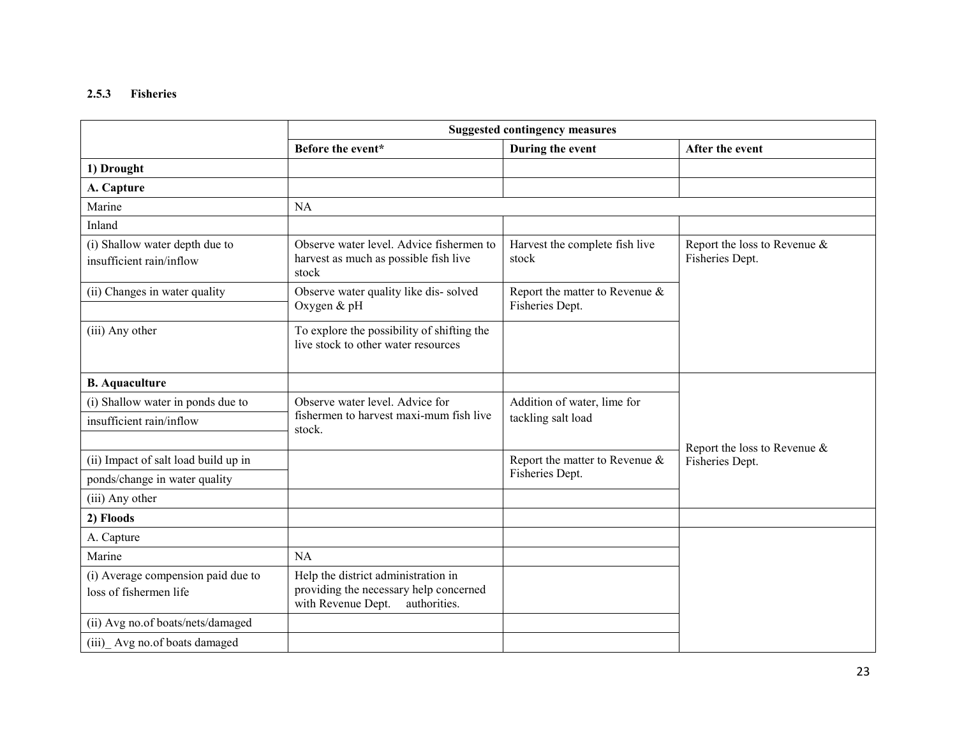# 2.5.3 Fisheries

|                                                              | <b>Suggested contingency measures</b>                                                                               |                                                   |                                                 |  |
|--------------------------------------------------------------|---------------------------------------------------------------------------------------------------------------------|---------------------------------------------------|-------------------------------------------------|--|
|                                                              | Before the event*                                                                                                   | During the event                                  | After the event                                 |  |
| 1) Drought                                                   |                                                                                                                     |                                                   |                                                 |  |
| A. Capture                                                   |                                                                                                                     |                                                   |                                                 |  |
| Marine                                                       | <b>NA</b>                                                                                                           |                                                   |                                                 |  |
| Inland                                                       |                                                                                                                     |                                                   |                                                 |  |
| (i) Shallow water depth due to<br>insufficient rain/inflow   | Observe water level. Advice fishermen to<br>harvest as much as possible fish live<br>stock                          | Harvest the complete fish live<br>stock           | Report the loss to Revenue &<br>Fisheries Dept. |  |
| (ii) Changes in water quality                                | Observe water quality like dis-solved<br>Oxygen & pH                                                                | Report the matter to Revenue &<br>Fisheries Dept. |                                                 |  |
| (iii) Any other                                              | To explore the possibility of shifting the<br>live stock to other water resources                                   |                                                   |                                                 |  |
| <b>B.</b> Aquaculture                                        |                                                                                                                     |                                                   |                                                 |  |
| (i) Shallow water in ponds due to                            | Observe water level. Advice for                                                                                     | Addition of water, lime for                       |                                                 |  |
| insufficient rain/inflow                                     | fishermen to harvest maxi-mum fish live<br>stock.                                                                   | tackling salt load                                |                                                 |  |
| (ii) Impact of salt load build up in                         |                                                                                                                     | Report the matter to Revenue &                    | Report the loss to Revenue &<br>Fisheries Dept. |  |
| ponds/change in water quality                                |                                                                                                                     | Fisheries Dept.                                   |                                                 |  |
| (iii) Any other                                              |                                                                                                                     |                                                   |                                                 |  |
| 2) Floods                                                    |                                                                                                                     |                                                   |                                                 |  |
| A. Capture                                                   |                                                                                                                     |                                                   |                                                 |  |
| Marine                                                       | NA                                                                                                                  |                                                   |                                                 |  |
| (i) Average compension paid due to<br>loss of fishermen life | Help the district administration in<br>providing the necessary help concerned<br>with Revenue Dept.<br>authorities. |                                                   |                                                 |  |
| (ii) Avg no.of boats/nets/damaged                            |                                                                                                                     |                                                   |                                                 |  |
| (iii) Avg no.of boats damaged                                |                                                                                                                     |                                                   |                                                 |  |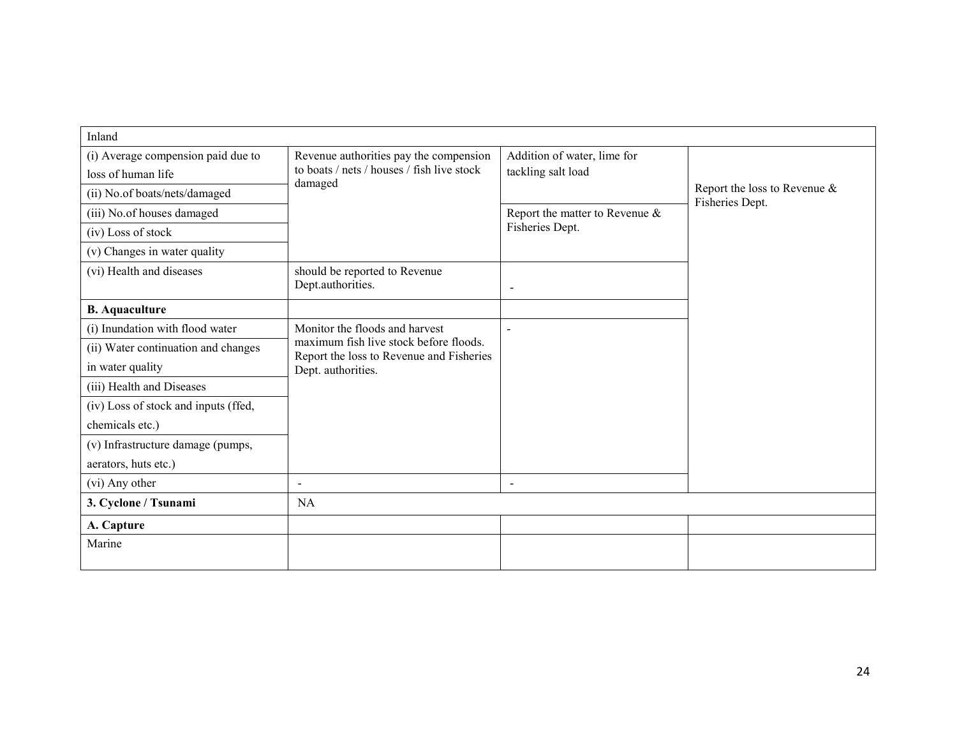| Inland                                                   |                                                                                      |                                                   |                                                    |  |
|----------------------------------------------------------|--------------------------------------------------------------------------------------|---------------------------------------------------|----------------------------------------------------|--|
| (i) Average compension paid due to<br>loss of human life | Revenue authorities pay the compension<br>to boats / nets / houses / fish live stock | Addition of water, lime for<br>tackling salt load |                                                    |  |
| (ii) No.of boats/nets/damaged                            | damaged                                                                              |                                                   | Report the loss to Revenue $\&$<br>Fisheries Dept. |  |
| (iii) No.of houses damaged                               |                                                                                      | Report the matter to Revenue $\&$                 |                                                    |  |
| (iv) Loss of stock                                       |                                                                                      | Fisheries Dept.                                   |                                                    |  |
| (v) Changes in water quality                             |                                                                                      |                                                   |                                                    |  |
| (vi) Health and diseases                                 | should be reported to Revenue<br>Dept.authorities.                                   | $\overline{\phantom{a}}$                          |                                                    |  |
| <b>B.</b> Aquaculture                                    |                                                                                      |                                                   |                                                    |  |
| (i) Inundation with flood water                          | Monitor the floods and harvest                                                       |                                                   |                                                    |  |
| (ii) Water continuation and changes                      | maximum fish live stock before floods.<br>Report the loss to Revenue and Fisheries   |                                                   |                                                    |  |
| in water quality                                         | Dept. authorities.                                                                   |                                                   |                                                    |  |
| (iii) Health and Diseases                                |                                                                                      |                                                   |                                                    |  |
| (iv) Loss of stock and inputs (ffed,                     |                                                                                      |                                                   |                                                    |  |
| chemicals etc.)                                          |                                                                                      |                                                   |                                                    |  |
| (v) Infrastructure damage (pumps,                        |                                                                                      |                                                   |                                                    |  |
| aerators, huts etc.)                                     |                                                                                      |                                                   |                                                    |  |
| (vi) Any other                                           | $\sim$                                                                               | $\sim$                                            |                                                    |  |
| 3. Cyclone / Tsunami                                     | NA                                                                                   |                                                   |                                                    |  |
| A. Capture                                               |                                                                                      |                                                   |                                                    |  |
| Marine                                                   |                                                                                      |                                                   |                                                    |  |
|                                                          |                                                                                      |                                                   |                                                    |  |